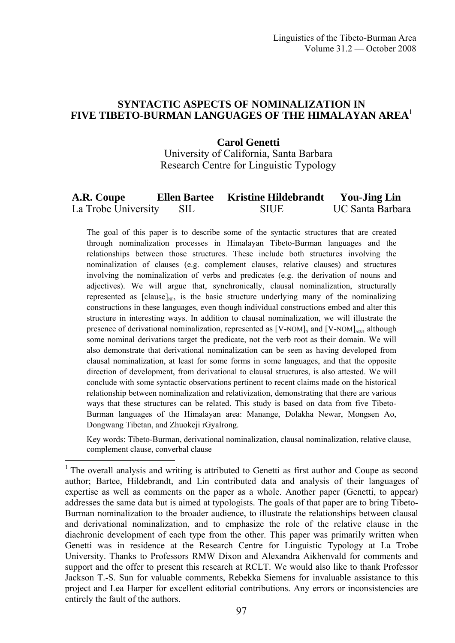## **SYNTACTIC ASPECTS OF NOMINALIZATION IN FIVE TIBETO-BURMAN LANGUAGES OF THE HIMALAYAN AREA**<sup>1</sup>

#### **Carol Genetti**  University of California, Santa Barbara Research Centre for Linguistic Typology

#### **A.R. Coupe Ellen Bartee Kristine Hildebrandt You-Jing Lin**  La Trobe University SIL SIUE UC Santa Barbara

The goal of this paper is to describe some of the syntactic structures that are created through nominalization processes in Himalayan Tibeto-Burman languages and the relationships between those structures. These include both structures involving the nominalization of clauses (e.g. complement clauses, relative clauses) and structures involving the nominalization of verbs and predicates (e.g. the derivation of nouns and adjectives). We will argue that, synchronically, clausal nominalization, structurally represented as  $\lceil \text{ clause} \rceil_{\text{NP}}$ , is the basic structure underlying many of the nominalizing constructions in these languages, even though individual constructions embed and alter this structure in interesting ways. In addition to clausal nominalization, we will illustrate the presence of derivational nominalization, represented as  $[V-NOM]_N$  and  $[V-NOM]_{AD}$ , although some nominal derivations target the predicate, not the verb root as their domain. We will also demonstrate that derivational nominalization can be seen as having developed from clausal nominalization, at least for some forms in some languages, and that the opposite direction of development, from derivational to clausal structures, is also attested. We will conclude with some syntactic observations pertinent to recent claims made on the historical relationship between nominalization and relativization, demonstrating that there are various ways that these structures can be related. This study is based on data from five Tibeto-Burman languages of the Himalayan area: Manange, Dolakha Newar, Mongsen Ao, Dongwang Tibetan, and Zhuokeji rGyalrong.

Key words: Tibeto-Burman, derivational nominalization, clausal nominalization, relative clause, complement clause, converbal clause

<u>.</u>

<sup>&</sup>lt;sup>1</sup> The overall analysis and writing is attributed to Genetti as first author and Coupe as second author; Bartee, Hildebrandt, and Lin contributed data and analysis of their languages of expertise as well as comments on the paper as a whole. Another paper (Genetti, to appear) addresses the same data but is aimed at typologists. The goals of that paper are to bring Tibeto-Burman nominalization to the broader audience, to illustrate the relationships between clausal and derivational nominalization, and to emphasize the role of the relative clause in the diachronic development of each type from the other. This paper was primarily written when Genetti was in residence at the Research Centre for Linguistic Typology at La Trobe University. Thanks to Professors RMW Dixon and Alexandra Aikhenvald for comments and support and the offer to present this research at RCLT. We would also like to thank Professor Jackson T.-S. Sun for valuable comments, Rebekka Siemens for invaluable assistance to this project and Lea Harper for excellent editorial contributions. Any errors or inconsistencies are entirely the fault of the authors.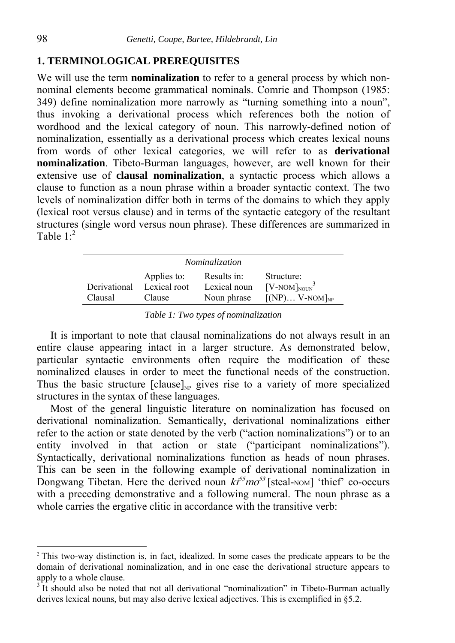## **1. TERMINOLOGICAL PREREQUISITES**

We will use the term **nominalization** to refer to a general process by which nonnominal elements become grammatical nominals. Comrie and Thompson (1985: 349) define nominalization more narrowly as "turning something into a noun", thus invoking a derivational process which references both the notion of wordhood and the lexical category of noun. This narrowly-defined notion of nominalization, essentially as a derivational process which creates lexical nouns from words of other lexical categories, we will refer to as **derivational nominalization**. Tibeto-Burman languages, however, are well known for their extensive use of **clausal nominalization**, a syntactic process which allows a clause to function as a noun phrase within a broader syntactic context. The two levels of nominalization differ both in terms of the domains to which they apply (lexical root versus clause) and in terms of the syntactic category of the resultant structures (single word versus noun phrase). These differences are summarized in Table  $1<sup>2</sup>$ 

| <i>Nominalization</i>   |                                       |                                            |                                                        |  |
|-------------------------|---------------------------------------|--------------------------------------------|--------------------------------------------------------|--|
| Derivational<br>Clausal | Applies to:<br>Lexical root<br>Clause | Results in:<br>Lexical noun<br>Noun phrase | Structure:<br>$[V-NOM]_{NOUN}^3$<br>$[(NP)V-NOM]_{NP}$ |  |

*Table 1: Two types of nominalization* 

It is important to note that clausal nominalizations do not always result in an entire clause appearing intact in a larger structure. As demonstrated below, particular syntactic environments often require the modification of these nominalized clauses in order to meet the functional needs of the construction. Thus the basic structure  $\lceil \text{clause} \rceil_{\text{NP}}$  gives rise to a variety of more specialized structures in the syntax of these languages.

Most of the general linguistic literature on nominalization has focused on derivational nominalization. Semantically, derivational nominalizations either refer to the action or state denoted by the verb ("action nominalizations") or to an entity involved in that action or state ("participant nominalizations"). Syntactically, derivational nominalizations function as heads of noun phrases. This can be seen in the following example of derivational nominalization in Dongwang Tibetan. Here the derived noun  $k^{55}$  mo<sup>53</sup> [steal-NOM] 'thief' co-occurs with a preceding demonstrative and a following numeral. The noun phrase as a whole carries the ergative clitic in accordance with the transitive verb:

<sup>&</sup>lt;sup>2</sup> This two-way distinction is, in fact, idealized. In some cases the predicate appears to be the domain of derivational nominalization, and in one case the derivational structure appears to apply to a whole clause.

<sup>&</sup>lt;sup>3</sup> It should also be noted that not all derivational "nominalization" in Tibeto-Burman actually derives lexical nouns, but may also derive lexical adjectives. This is exemplified in §5.2.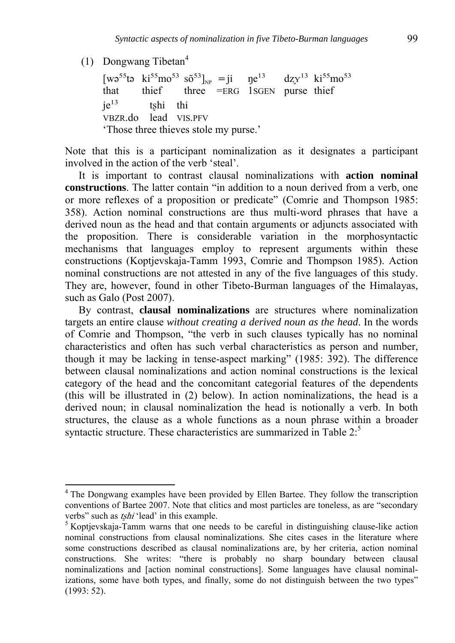(1) Dongwang Tibetan<sup>4</sup>

<u>.</u>

 $[wo^{55} \text{ta } \text{ki}^{55} \text{mo}^{53} \text{ so}^{53}]_{\text{NP}} = \text{ji } \text{np}^{13} \text{ dzy}^{13} \text{ ki}^{55} \text{mo}^{53}$ that thief three =ERG 1SGEN purse thief  $ie^{13}$  tshi thi VBZR.do lead VIS.PFV 'Those three thieves stole my purse.'

Note that this is a participant nominalization as it designates a participant involved in the action of the verb 'steal'.

It is important to contrast clausal nominalizations with **action nominal constructions**. The latter contain "in addition to a noun derived from a verb, one or more reflexes of a proposition or predicate" (Comrie and Thompson 1985: 358). Action nominal constructions are thus multi-word phrases that have a derived noun as the head and that contain arguments or adjuncts associated with the proposition. There is considerable variation in the morphosyntactic mechanisms that languages employ to represent arguments within these constructions (Koptjevskaja-Tamm 1993, Comrie and Thompson 1985). Action nominal constructions are not attested in any of the five languages of this study. They are, however, found in other Tibeto-Burman languages of the Himalayas, such as Galo (Post 2007).

By contrast, **clausal nominalizations** are structures where nominalization targets an entire clause *without creating a derived noun as the head*. In the words of Comrie and Thompson, "the verb in such clauses typically has no nominal characteristics and often has such verbal characteristics as person and number, though it may be lacking in tense-aspect marking" (1985: 392). The difference between clausal nominalizations and action nominal constructions is the lexical category of the head and the concomitant categorial features of the dependents (this will be illustrated in (2) below). In action nominalizations, the head is a derived noun; in clausal nominalization the head is notionally a verb. In both structures, the clause as a whole functions as a noun phrase within a broader syntactic structure. These characteristics are summarized in Table 2:<sup>5</sup>

<sup>&</sup>lt;sup>4</sup> The Dongwang examples have been provided by Ellen Bartee. They follow the transcription conventions of Bartee 2007. Note that clitics and most particles are toneless, as are "secondary verbs" such as *tshi* 'lead' in this example.

<sup>&</sup>lt;sup>5</sup> Koptjevskaja-Tamm warns that one needs to be careful in distinguishing clause-like action nominal constructions from clausal nominalizations. She cites cases in the literature where some constructions described as clausal nominalizations are, by her criteria, action nominal constructions. She writes: "there is probably no sharp boundary between clausal nominalizations and [action nominal constructions]. Some languages have clausal nominalizations, some have both types, and finally, some do not distinguish between the two types" (1993: 52).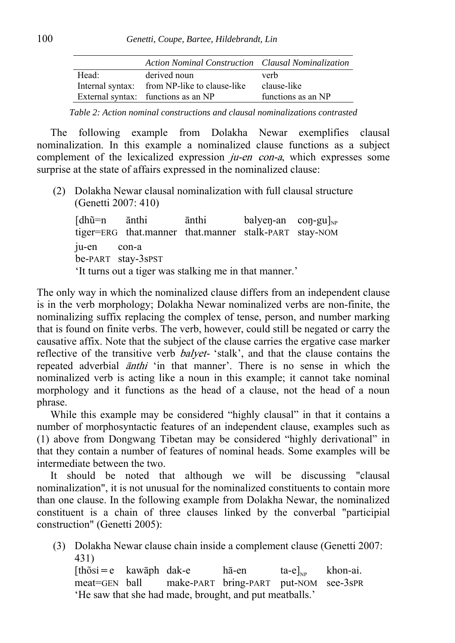|       | Action Nominal Construction Clausal Nominalization |                    |
|-------|----------------------------------------------------|--------------------|
| Head: | derived noun                                       | verb               |
|       | Internal syntax: from NP-like to clause-like       | clause-like        |
|       | External syntax: functions as an NP                | functions as an NP |

*Table 2: Action nominal constructions and clausal nominalizations contrasted* 

The following example from Dolakha Newar exemplifies clausal nominalization. In this example a nominalized clause functions as a subject complement of the lexicalized expression *ju-en con-a*, which expresses some surprise at the state of affairs expressed in the nominalized clause:

(2) Dolakha Newar clausal nominalization with full clausal structure (Genetti 2007: 410)

 $[dh\tilde{u}=n$  ānthi ānthi balyen-an con-gu $]_{NP}$ tiger=ERG that.manner that.manner stalk-PART stay-NOM ju-en con-a be-PART stay-3sPST 'It turns out a tiger was stalking me in that manner.'

The only way in which the nominalized clause differs from an independent clause is in the verb morphology; Dolakha Newar nominalized verbs are non-finite, the nominalizing suffix replacing the complex of tense, person, and number marking that is found on finite verbs. The verb, however, could still be negated or carry the causative affix. Note that the subject of the clause carries the ergative case marker reflective of the transitive verb *balyet*- 'stalk', and that the clause contains the repeated adverbial *anthi* 'in that manner'. There is no sense in which the nominalized verb is acting like a noun in this example; it cannot take nominal morphology and it functions as the head of a clause, not the head of a noun phrase.

While this example may be considered "highly clausal" in that it contains a number of morphosyntactic features of an independent clause, examples such as (1) above from Dongwang Tibetan may be considered "highly derivational" in that they contain a number of features of nominal heads. Some examples will be intermediate between the two.

It should be noted that although we will be discussing "clausal nominalization", it is not unusual for the nominalized constituents to contain more than one clause. In the following example from Dolakha Newar, the nominalized constituent is a chain of three clauses linked by the converbal "participial construction" (Genetti 2005):

(3) Dolakha Newar clause chain inside a complement clause (Genetti 2007: 431)

```
[th\tilde{o}si=e kawāph dak-e hā-en ta-e]<sub>NP</sub> khon-ai.
meat=GEN ball make-PART bring-PART put-NOM see-3sPR
'He saw that she had made, brought, and put meatballs.'
```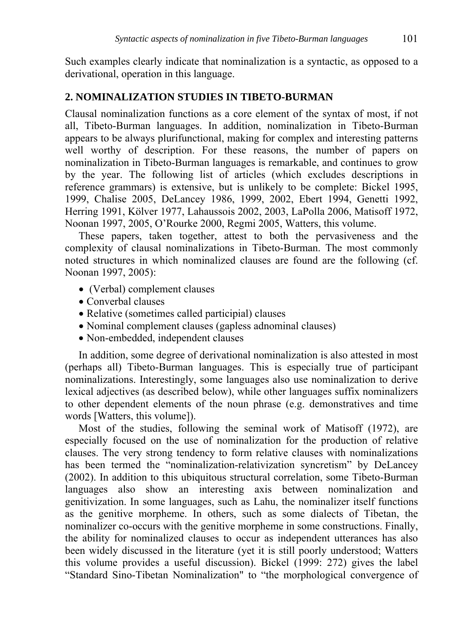Such examples clearly indicate that nominalization is a syntactic, as opposed to a derivational, operation in this language.

# **2. NOMINALIZATION STUDIES IN TIBETO-BURMAN**

Clausal nominalization functions as a core element of the syntax of most, if not all, Tibeto-Burman languages. In addition, nominalization in Tibeto-Burman appears to be always plurifunctional, making for complex and interesting patterns well worthy of description. For these reasons, the number of papers on nominalization in Tibeto-Burman languages is remarkable, and continues to grow by the year. The following list of articles (which excludes descriptions in reference grammars) is extensive, but is unlikely to be complete: Bickel 1995, 1999, Chalise 2005, DeLancey 1986, 1999, 2002, Ebert 1994, Genetti 1992, Herring 1991, Kölver 1977, Lahaussois 2002, 2003, LaPolla 2006, Matisoff 1972, Noonan 1997, 2005, O'Rourke 2000, Regmi 2005, Watters, this volume.

These papers, taken together, attest to both the pervasiveness and the complexity of clausal nominalizations in Tibeto-Burman. The most commonly noted structures in which nominalized clauses are found are the following (cf. Noonan 1997, 2005):

- (Verbal) complement clauses
- Converbal clauses
- Relative (sometimes called participial) clauses
- Nominal complement clauses (gapless adnominal clauses)
- Non-embedded, independent clauses

In addition, some degree of derivational nominalization is also attested in most (perhaps all) Tibeto-Burman languages. This is especially true of participant nominalizations. Interestingly, some languages also use nominalization to derive lexical adjectives (as described below), while other languages suffix nominalizers to other dependent elements of the noun phrase (e.g. demonstratives and time words [Watters, this volume]).

Most of the studies, following the seminal work of Matisoff (1972), are especially focused on the use of nominalization for the production of relative clauses. The very strong tendency to form relative clauses with nominalizations has been termed the "nominalization-relativization syncretism" by DeLancey (2002). In addition to this ubiquitous structural correlation, some Tibeto-Burman languages also show an interesting axis between nominalization and genitivization. In some languages, such as Lahu, the nominalizer itself functions as the genitive morpheme. In others, such as some dialects of Tibetan, the nominalizer co-occurs with the genitive morpheme in some constructions. Finally, the ability for nominalized clauses to occur as independent utterances has also been widely discussed in the literature (yet it is still poorly understood; Watters this volume provides a useful discussion). Bickel (1999: 272) gives the label "Standard Sino-Tibetan Nominalization" to "the morphological convergence of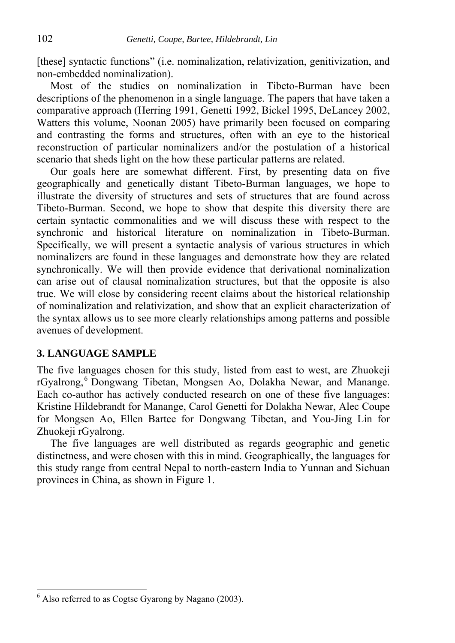[these] syntactic functions" (i.e. nominalization, relativization, genitivization, and non-embedded nominalization).

Most of the studies on nominalization in Tibeto-Burman have been descriptions of the phenomenon in a single language. The papers that have taken a comparative approach (Herring 1991, Genetti 1992, Bickel 1995, DeLancey 2002, Watters this volume, Noonan 2005) have primarily been focused on comparing and contrasting the forms and structures, often with an eye to the historical reconstruction of particular nominalizers and/or the postulation of a historical scenario that sheds light on the how these particular patterns are related.

Our goals here are somewhat different. First, by presenting data on five geographically and genetically distant Tibeto-Burman languages, we hope to illustrate the diversity of structures and sets of structures that are found across Tibeto-Burman. Second, we hope to show that despite this diversity there are certain syntactic commonalities and we will discuss these with respect to the synchronic and historical literature on nominalization in Tibeto-Burman. Specifically, we will present a syntactic analysis of various structures in which nominalizers are found in these languages and demonstrate how they are related synchronically. We will then provide evidence that derivational nominalization can arise out of clausal nominalization structures, but that the opposite is also true. We will close by considering recent claims about the historical relationship of nominalization and relativization, and show that an explicit characterization of the syntax allows us to see more clearly relationships among patterns and possible avenues of development.

#### **3. LANGUAGE SAMPLE**

The five languages chosen for this study, listed from east to west, are Zhuokeji rGyalrong, Dongwang Tibetan, Mongsen Ao, Dolakha Newar, and Manange. Each co-author has actively conducted research on one of these five languages: Kristine Hildebrandt for Manange, Carol Genetti for Dolakha Newar, Alec Coupe for Mongsen Ao, Ellen Bartee for Dongwang Tibetan, and You-Jing Lin for Zhuokeji rGyalrong.

The five languages are well distributed as regards geographic and genetic distinctness, and were chosen with this in mind. Geographically, the languages for this study range from central Nepal to north-eastern India to Yunnan and Sichuan provinces in China, as shown in Figure 1.

 $6$  Also referred to as Cogtse Gyarong by Nagano (2003).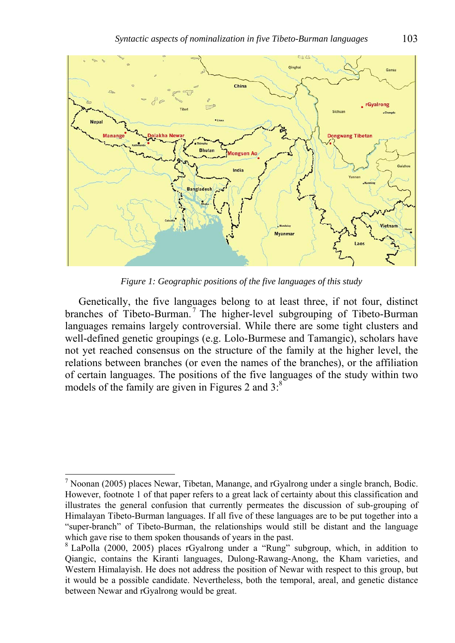

*Figure 1: Geographic positions of the five languages of this study* 

Genetically, the five languages belong to at least three, if not four, distinct branches of Tibeto-Burman.<sup>7</sup> The higher-level subgrouping of Tibeto-Burman languages remains largely controversial. While there are some tight clusters and well-defined genetic groupings (e.g. Lolo-Burmese and Tamangic), scholars have not yet reached consensus on the structure of the family at the higher level, the relations between branches (or even the names of the branches), or the affiliation of certain languages. The positions of the five languages of the study within two models of the family are given in Figures 2 and  $3$ .<sup>8</sup>

1

 $<sup>7</sup>$  Noonan (2005) places Newar, Tibetan, Manange, and rGyalrong under a single branch, Bodic.</sup> However, footnote 1 of that paper refers to a great lack of certainty about this classification and illustrates the general confusion that currently permeates the discussion of sub-grouping of Himalayan Tibeto-Burman languages. If all five of these languages are to be put together into a "super-branch" of Tibeto-Burman, the relationships would still be distant and the language which gave rise to them spoken thousands of years in the past.

<sup>&</sup>lt;sup>8</sup> LaPolla (2000, 2005) places rGyalrong under a "Rung" subgroup, which, in addition to Qiangic, contains the Kiranti languages, Dulong-Rawang-Anong, the Kham varieties, and Western Himalayish. He does not address the position of Newar with respect to this group, but it would be a possible candidate. Nevertheless, both the temporal, areal, and genetic distance between Newar and rGyalrong would be great.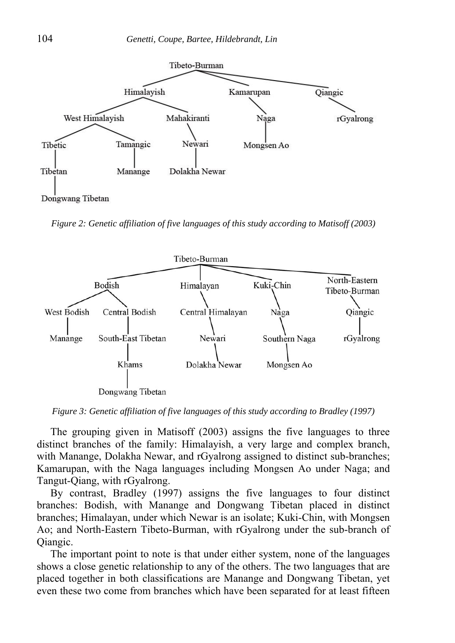

Dongwang Tibetan

*Figure 2: Genetic affiliation of five languages of this study according to Matisoff (2003)* 



*Figure 3: Genetic affiliation of five languages of this study according to Bradley (1997)* 

The grouping given in Matisoff (2003) assigns the five languages to three distinct branches of the family: Himalayish, a very large and complex branch, with Manange, Dolakha Newar, and rGyalrong assigned to distinct sub-branches; Kamarupan, with the Naga languages including Mongsen Ao under Naga; and Tangut-Qiang, with rGyalrong.

By contrast, Bradley (1997) assigns the five languages to four distinct branches: Bodish, with Manange and Dongwang Tibetan placed in distinct branches; Himalayan, under which Newar is an isolate; Kuki-Chin, with Mongsen Ao; and North-Eastern Tibeto-Burman, with rGyalrong under the sub-branch of Qiangic.

The important point to note is that under either system, none of the languages shows a close genetic relationship to any of the others. The two languages that are placed together in both classifications are Manange and Dongwang Tibetan, yet even these two come from branches which have been separated for at least fifteen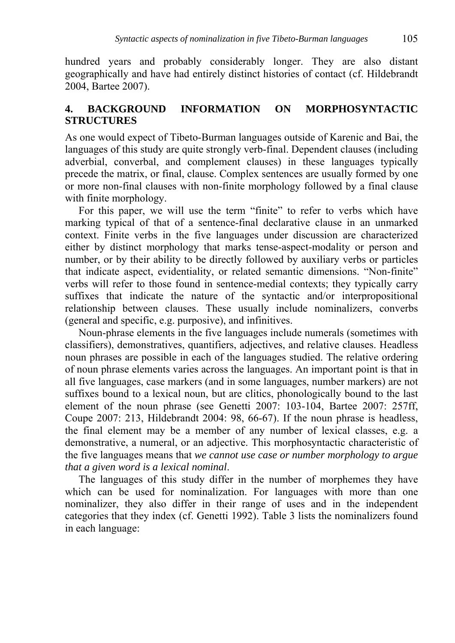hundred years and probably considerably longer. They are also distant geographically and have had entirely distinct histories of contact (cf. Hildebrandt 2004, Bartee 2007).

# **4. BACKGROUND INFORMATION ON MORPHOSYNTACTIC STRUCTURES**

As one would expect of Tibeto-Burman languages outside of Karenic and Bai, the languages of this study are quite strongly verb-final. Dependent clauses (including adverbial, converbal, and complement clauses) in these languages typically precede the matrix, or final, clause. Complex sentences are usually formed by one or more non-final clauses with non-finite morphology followed by a final clause with finite morphology.

For this paper, we will use the term "finite" to refer to verbs which have marking typical of that of a sentence-final declarative clause in an unmarked context. Finite verbs in the five languages under discussion are characterized either by distinct morphology that marks tense-aspect-modality or person and number, or by their ability to be directly followed by auxiliary verbs or particles that indicate aspect, evidentiality, or related semantic dimensions. "Non-finite" verbs will refer to those found in sentence-medial contexts; they typically carry suffixes that indicate the nature of the syntactic and/or interpropositional relationship between clauses. These usually include nominalizers, converbs (general and specific, e.g. purposive), and infinitives.

Noun-phrase elements in the five languages include numerals (sometimes with classifiers), demonstratives, quantifiers, adjectives, and relative clauses. Headless noun phrases are possible in each of the languages studied. The relative ordering of noun phrase elements varies across the languages. An important point is that in all five languages, case markers (and in some languages, number markers) are not suffixes bound to a lexical noun, but are clitics, phonologically bound to the last element of the noun phrase (see Genetti 2007: 103-104, Bartee 2007: 257ff, Coupe 2007: 213, Hildebrandt 2004: 98, 66-67). If the noun phrase is headless, the final element may be a member of any number of lexical classes, e.g. a demonstrative, a numeral, or an adjective. This morphosyntactic characteristic of the five languages means that *we cannot use case or number morphology to argue that a given word is a lexical nominal*.

The languages of this study differ in the number of morphemes they have which can be used for nominalization. For languages with more than one nominalizer, they also differ in their range of uses and in the independent categories that they index (cf. Genetti 1992). Table 3 lists the nominalizers found in each language: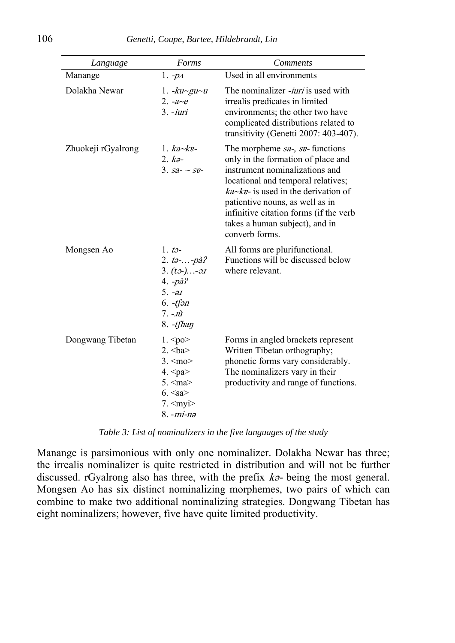| Language           | Forms                                                                                                                                                                                                                                         | <b>Comments</b>                                                                                                                                                                                                                                                                                                                        |
|--------------------|-----------------------------------------------------------------------------------------------------------------------------------------------------------------------------------------------------------------------------------------------|----------------------------------------------------------------------------------------------------------------------------------------------------------------------------------------------------------------------------------------------------------------------------------------------------------------------------------------|
| Manange            | 1. $-p_1$                                                                                                                                                                                                                                     | Used in all environments                                                                                                                                                                                                                                                                                                               |
| Dolakha Newar      | 1. $-ku$ -gu~u<br>2. $-a \sim e$<br>$3. -iuri$                                                                                                                                                                                                | The nominalizer <i>-iuri</i> is used with<br>irrealis predicates in limited<br>environments; the other two have<br>complicated distributions related to<br>transitivity (Genetti 2007: 403-407).                                                                                                                                       |
| Zhuokeji rGyalrong | $1.$ ka~kv-<br>$2.$ $k$ $\theta$ -<br>3. $sa - \sim se$                                                                                                                                                                                       | The morpheme sa-, sv- functions<br>only in the formation of place and<br>instrument nominalizations and<br>locational and temporal relatives;<br>$ka \sim k\mathbf{r}$ - is used in the derivation of<br>patientive nouns, as well as in<br>infinitive citation forms (if the verb<br>takes a human subject), and in<br>converb forms. |
| Mongsen Ao         | 1. t $\theta$ -<br>2. $t_2$ $-pa^2$ ?<br>3. $(t2)$ -21<br>4. $-p\hat{a}$ ?<br>$5. -\partial J$<br>$6. -tfan$<br>$7. - \vec{u}$<br>$8. -t$ fhan                                                                                                | All forms are plurifunctional.<br>Functions will be discussed below<br>where relevant.                                                                                                                                                                                                                                                 |
| Dongwang Tibetan   | 1. <p>po<br/>2. <math>&lt;</math>ba<math>&gt;</math><br/><math>3. \leq m</math>o&gt;<br/><math>4.</math> <pa><br/>5. &lt; ma<br/><math>6. &lt;</math>sa&gt;<br/><math>7. \leq m</math>yi<math>&gt;</math><br/><math>8. -mi-na</math></pa></p> | Forms in angled brackets represent<br>Written Tibetan orthography;<br>phonetic forms vary considerably.<br>The nominalizers vary in their<br>productivity and range of functions.                                                                                                                                                      |

*Table 3: List of nominalizers in the five languages of the study* 

Manange is parsimonious with only one nominalizer. Dolakha Newar has three; the irrealis nominalizer is quite restricted in distribution and will not be further discussed. rGyalrong also has three, with the prefix  $k\vartheta$ - being the most general. Mongsen Ao has six distinct nominalizing morphemes, two pairs of which can combine to make two additional nominalizing strategies. Dongwang Tibetan has eight nominalizers; however, five have quite limited productivity.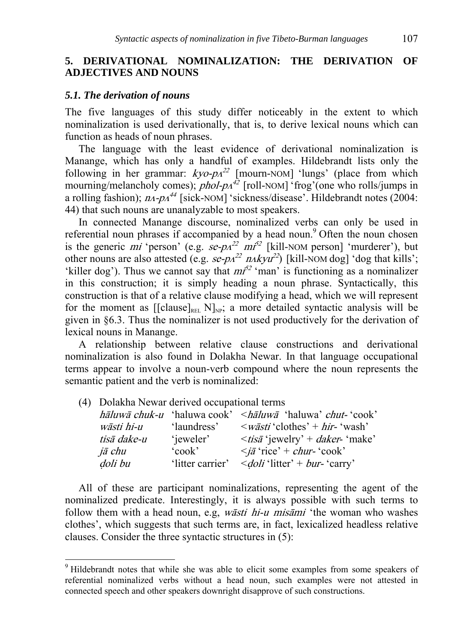## **5. DERIVATIONAL NOMINALIZATION: THE DERIVATION OF ADJECTIVES AND NOUNS**

### *5.1. The derivation of nouns*

The five languages of this study differ noticeably in the extent to which nominalization is used derivationally, that is, to derive lexical nouns which can function as heads of noun phrases.

The language with the least evidence of derivational nominalization is Manange, which has only a handful of examples. Hildebrandt lists only the following in her grammar:  $kyo-pA^{22}$  [mourn-NOM] 'lungs' (place from which mourning/melancholy comes);  $phol-p<sup>42</sup>$  [roll-NOM] 'frog'(one who rolls/jumps in a rolling fashion);  $n_A$ - $p_A$ <sup>44</sup> [sick-NOM] 'sickness/disease'. Hildebrandt notes (2004: 44) that such nouns are unanalyzable to most speakers.

In connected Manange discourse, nominalized verbs can only be used in referential noun phrases if accompanied by a head noun.<sup>9</sup> Often the noun chosen is the generic *mi* 'person' (e.g.  $\text{se-}p_A^{22}$   $\text{m}^{32}$  [kill-NOM person] 'murderer'), but other nouns are also attested (e.g.  $\textit{se-pa}^{22}$   $\textit{nakyu}^{22}$ ) [kill-NOM dog] 'dog that kills'; 'killer dog'). Thus we cannot say that  $m<sup>52</sup>$  'man' is functioning as a nominalizer in this construction; it is simply heading a noun phrase. Syntactically, this construction is that of a relative clause modifying a head, which we will represent for the moment as  $[[\text{clause}]_{\text{REL}}]_{\text{NP}}$ ; a more detailed syntactic analysis will be given in §6.3. Thus the nominalizer is not used productively for the derivation of lexical nouns in Manange.

A relationship between relative clause constructions and derivational nominalization is also found in Dolakha Newar. In that language occupational terms appear to involve a noun-verb compound where the noun represents the semantic patient and the verb is nominalized:

(4) Dolakha Newar derived occupational terms

1

|             |                  | <i>hāluwā chuk-u</i> 'haluwa cook' < hāluwā 'haluwa' chut-'cook' |
|-------------|------------------|------------------------------------------------------------------|
| wāsti hi-u  | 'laundress'      | $\langle w\bar{a}sti'\text{clothes'} + hir\text{-}'wash'\rangle$ |
| tisā dake-u | 'jeweler'        | $\langle$ <i>tisa</i> 'jewelry' + <i>daker</i> - 'make'          |
| jā chu      | 'cook'           | $\langle i\bar{a} \text{ 'rice'} + \text{chur- 'cook'}\rangle$   |
| doli bu     | 'litter carrier' | $\leq$ <i>doli</i> 'litter' + <i>bur</i> - 'carry'               |

All of these are participant nominalizations, representing the agent of the nominalized predicate. Interestingly, it is always possible with such terms to follow them with a head noun, e.g, *wāsti hi-u misāmi* 'the woman who washes clothes', which suggests that such terms are, in fact, lexicalized headless relative clauses. Consider the three syntactic structures in (5):

<sup>&</sup>lt;sup>9</sup> Hildebrandt notes that while she was able to elicit some examples from some speakers of referential nominalized verbs without a head noun, such examples were not attested in connected speech and other speakers downright disapprove of such constructions.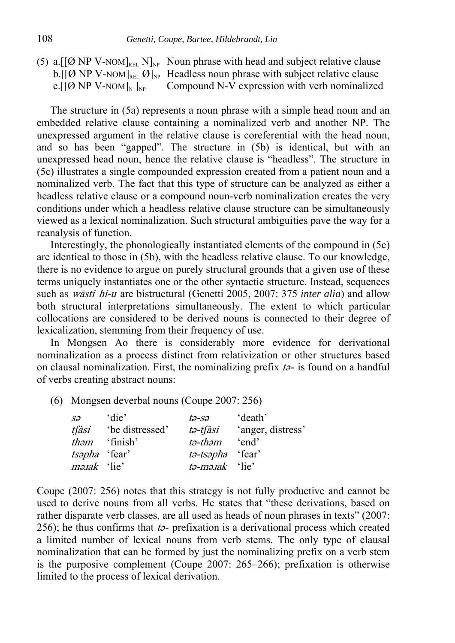(5) a.  $[(\emptyset \text{ NP } V\text{-}\text{NOM}]_{\text{REL}}]_{\text{NP}}$  Noun phrase with head and subject relative clause b. [[Ø NP V-NOM]<sub>REL</sub> Ø]<sub>NP</sub> Headless noun phrase with subject relative clause c.  $[(\emptyset \text{ NP } V\text{-NOM}]_{N}]_{NP}$  Compound N-V expression with verb nominalized

The structure in (5a) represents a noun phrase with a simple head noun and an embedded relative clause containing a nominalized verb and another NP. The unexpressed argument in the relative clause is coreferential with the head noun, and so has been "gapped". The structure in (5b) is identical, but with an unexpressed head noun, hence the relative clause is "headless". The structure in (5c) illustrates a single compounded expression created from a patient noun and a nominalized verb. The fact that this type of structure can be analyzed as either a headless relative clause or a compound noun-verb nominalization creates the very conditions under which a headless relative clause structure can be simultaneously viewed as a lexical nominalization. Such structural ambiguities pave the way for a reanalysis of function.

Interestingly, the phonologically instantiated elements of the compound in (5c) are identical to those in (5b), with the headless relative clause. To our knowledge, there is no evidence to argue on purely structural grounds that a given use of these terms uniquely instantiates one or the other syntactic structure. Instead, sequences such as wāsti hi-u are bistructural (Genetti 2005, 2007: 375 *inter alia*) and allow both structural interpretations simultaneously. The extent to which particular collocations are considered to be derived nouns is connected to their degree of lexicalization, stemming from their frequency of use.

In Mongsen Ao there is considerably more evidence for derivational nominalization as a process distinct from relativization or other structures based on clausal nominalization. First, the nominalizing prefix <sup>t</sup>ə- is found on a handful of verbs creating abstract nouns:

(6) Mongsen deverbal nouns (Coupe 2007: 256)

| $S\mathcal{O}$       | 'die'                      | tə-sə                                 | death <sup>'</sup> |
|----------------------|----------------------------|---------------------------------------|--------------------|
|                      | <i>tfàsi</i> be distressed | tə-tfàsi                              | 'anger, distress'  |
|                      | <i>them</i> 'finish'       | tə-thəm                               | 'end               |
| <i>tsapha</i> 'fear' |                            | tə-tsəpha 'fear'                      |                    |
| <i>mə.tak</i> 'lie'  |                            | $t\rightarrow m\rightarrow zak$ 'lie' |                    |

Coupe (2007: 256) notes that this strategy is not fully productive and cannot be used to derive nouns from all verbs. He states that "these derivations, based on rather disparate verb classes, are all used as heads of noun phrases in texts" (2007: 256); he thus confirms that  $t_{2}$ - prefixation is a derivational process which created a limited number of lexical nouns from verb stems. The only type of clausal nominalization that can be formed by just the nominalizing prefix on a verb stem is the purposive complement (Coupe 2007: 265–266); prefixation is otherwise limited to the process of lexical derivation.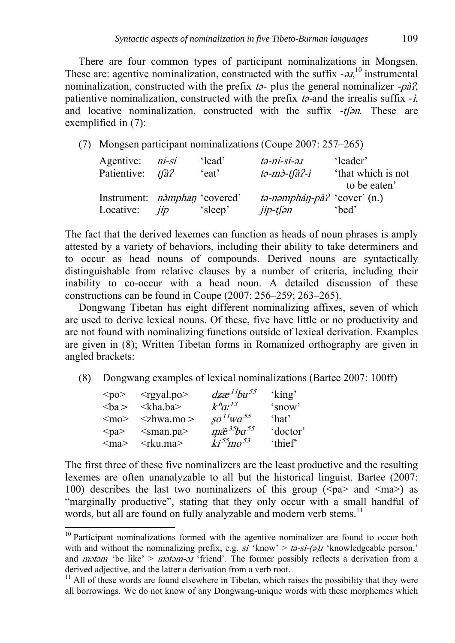There are four common types of participant nominalizations in Mongsen. These are: agentive nominalization, constructed with the suffix  $-a<sub>1</sub>$ <sup>10</sup> instrumental nominalization, constructed with the prefix  $t_{\theta}$ - plus the general nominalizer -pà?, patientive nominalization, constructed with the prefix  $t_{0}$ -and the irrealis suffix  $-\lambda$ , and locative nominalization, constructed with the suffix -tspn. These are exemplified in (7):

(7) Mongsen participant nominalizations (Coupe 2007: 257–265)

| Agentive: <i>ni-si</i>                          |     | 'lead'  | tə-ni-si-ə.ı                             | 'leader'           |
|-------------------------------------------------|-----|---------|------------------------------------------|--------------------|
| Patientive: tfà?                                |     | 'eat'   | tə-mə-tfà?-ì                             | 'that which is not |
|                                                 |     |         |                                          | to be eaten'       |
| Instrument: <i>n<sub>o</sub>mphan</i> 'covered' |     |         | $t\rightarrow$ -nəmphán-pà? 'cover' (n.) |                    |
| Locative:                                       | jip | 'sleep' | jip-tfən                                 | 'bed'              |

The fact that the derived lexemes can function as heads of noun phrases is amply attested by a variety of behaviors, including their ability to take determiners and to occur as head nouns of compounds. Derived nouns are syntactically distinguishable from relative clauses by a number of criteria, including their inability to co-occur with a head noun. A detailed discussion of these constructions can be found in Coupe (2007: 256–259; 263–265).

Dongwang Tibetan has eight different nominalizing affixes, seven of which are used to derive lexical nouns. Of these, five have little or no productivity and are not found with nominalizing functions outside of lexical derivation. Examples are given in (8); Written Tibetan forms in Romanized orthography are given in angled brackets:

(8) Dongwang examples of lexical nominalizations (Bartee 2007: 100ff)

| $po$          | $\langle$ rgyal.po>         | $dzx^{11}bu^{55}$        | 'king'              |
|---------------|-----------------------------|--------------------------|---------------------|
| $a$           | $\langle$ kha.ba>           | $k^h a^{\prime}{}^{13}$  | 'snow'              |
| $\leq$ mo $>$ | $\langle$ zhwa.mo $\rangle$ | $SO^{11}WA^{55}$         | 'hat'               |
| $<$ pa $>$    | $\le$ sman.pa $>$           | $m\tilde{x}^{35}ba^{55}$ | doctor <sup>'</sup> |
| $\leq$ ma $>$ | $\langle$ rku.ma $\rangle$  | $ki^{55}mo^{53}$         | 'thief              |

1

The first three of these five nominalizers are the least productive and the resulting lexemes are often unanalyzable to all but the historical linguist. Bartee (2007: 100) describes the last two nominalizers of this group ( $\langle pa \rangle$  and  $\langle ma \rangle$ ) as "marginally productive", stating that they only occur with a small handful of words, but all are found on fully analyzable and modern verb stems.<sup>11</sup>

 $10$  Participant nominalizations formed with the agentive nominalizer are found to occur both with and without the nominalizing prefix, e.g. si 'know' > ta-si-(a)x 'knowledgeable person,' and *mətəm* 'be like' > *mətəm-əx* 'friend'. The former possibly reflects a derivation from a derived adjective, and the latter a derivation from a verb root.

 $<sup>11</sup>$  All of these words are found elsewhere in Tibetan, which raises the possibility that they were</sup> all borrowings. We do not know of any Dongwang-unique words with these morphemes which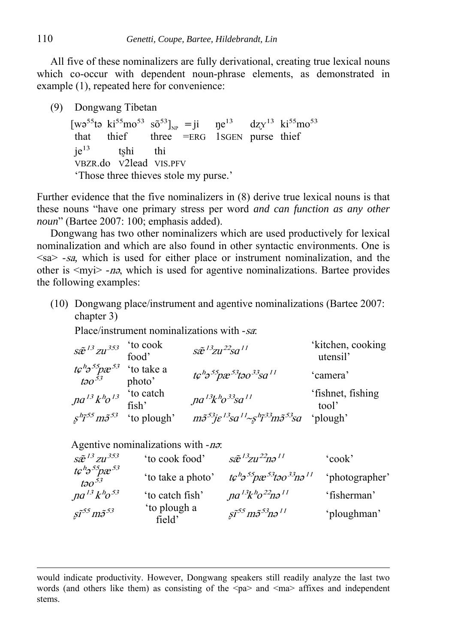All five of these nominalizers are fully derivational, creating true lexical nouns which co-occur with dependent noun-phrase elements, as demonstrated in example (1), repeated here for convenience:

(9) Dongwang Tibetan

 $[wo^{55}to\ ki^{55}mo^{53}\ s\tilde{0}^{53}]_{NP} = ji\ n e^{13} \frac{dz}{Y}^{13} \ ki^{55}mo^{53}$ that thief three =ERG 1SGEN purse thief  $ie^{13}$  tshi thi VBZR.do V2lead VIS.PFV 'Those three thieves stole my purse.'

Further evidence that the five nominalizers in (8) derive true lexical nouns is that these nouns "have one primary stress per word *and can function as any other noun*" (Bartee 2007: 100; emphasis added).

Dongwang has two other nominalizers which are used productively for lexical nominalization and which are also found in other syntactic environments. One is  $\langle$ sa $>$  -sa, which is used for either place or instrument nominalization, and the other is <myi> *-*n<sup>ǝ</sup>, which is used for agentive nominalizations. Bartee provides the following examples:

(10) Dongwang place/instrument and agentive nominalizations (Bartee 2007: chapter 3)

Place/instrument nominalizations with -sa.

| $s\tilde{e}^{13}zu^{353}$ (to cook food)           |                                                               | $s\tilde{e}^{13}zu^{22}so^{11}$                                                                          | 'kitchen, cooking<br>utensil' |
|----------------------------------------------------|---------------------------------------------------------------|----------------------------------------------------------------------------------------------------------|-------------------------------|
| $tc^h\sigma^{55}px^{53}$ 'to take a<br>tə $o^{53}$ | photo'                                                        | $t\mathcal{C}^{h} \mathcal{D}^{55} p x^{53} t \mathcal{D} \mathcal{O}^{33} s \mathcal{O}^{11}$           | 'camera'                      |
| $\int \int a^{13} k^h c^{13}$                      | to catch <sup>*</sup><br>fish'                                | $na^{13}k^h o^{33}sa^{11}$                                                                               | 'fishnet, fishing<br>tool'    |
|                                                    | $s^{h} \tilde{\jmath}^{55} m \tilde{\jmath}^{53}$ 'to plough' | $m\tilde{\sigma}^{53}$ je $l^3$ sa $l^1 \sim s^h\tilde{\sigma}^{33}$ m $\tilde{\sigma}^{53}$ sa 'plough' |                               |

Agentive nominalizations with -n<sup>ə</sup>:

| $s\tilde{e}^{13}$ zu <sup>353</sup>                                  | 'to cook food'         | $s\tilde{e}^{13}$ zu <sup>22</sup> nə <sup>11</sup>                                | 'cook'         |
|----------------------------------------------------------------------|------------------------|------------------------------------------------------------------------------------|----------------|
| $t\mathcal{C}^{h} \mathcal{P}^{55} p x^{53}$<br>$t$ 20 <sup>53</sup> | 'to take a photo'      | $t\mathcal{C}^h$ ə $^{55}$ pæ $^{53}$ təo $^{33}$ nə $^{11}$                       | 'photographer' |
| $na^{13}k^h$ o <sup>53</sup>                                         | 'to catch fish'        | $na^{13}k^h o^{22}n o^{11}$                                                        | 'fisherman'    |
| $\tilde{\mathfrak{so}}^{55}$ m $\tilde{\mathfrak{so}}^{53}$          | 'to plough a<br>field' | $\tilde{\mathfrak{so}}^{55}$ m $\tilde{\mathfrak{so}}^{53}$ n $\mathfrak{so}^{11}$ | 'ploughman'    |

would indicate productivity. However, Dongwang speakers still readily analyze the last two words (and others like them) as consisting of the  $\langle pa \rangle$  and  $\langle ma \rangle$  affixes and independent stems.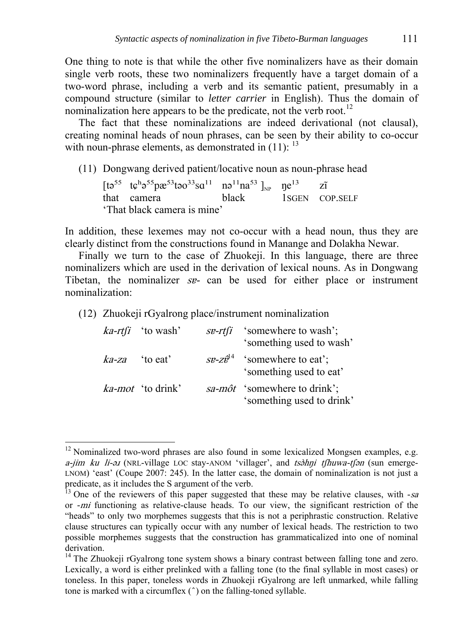One thing to note is that while the other five nominalizers have as their domain single verb roots, these two nominalizers frequently have a target domain of a two-word phrase, including a verb and its semantic patient, presumably in a compound structure (similar to *letter carrier* in English). Thus the domain of nominalization here appears to be the predicate, not the verb root.<sup>12</sup>

The fact that these nominalizations are indeed derivational (not clausal), creating nominal heads of noun phrases, can be seen by their ability to co-occur with noun-phrase elements, as demonstrated in  $(11)$ :  $^{13}$ 

(11) Dongwang derived patient/locative noun as noun-phrase head

 $[t555 t6h555pæ53t5033s611n511n253]_{NP}$   $p135r25$   $zT$  that camera<br>hack 1SGEN CC 1SGEN COP.SELF 'That black camera is mine'

In addition, these lexemes may not co-occur with a head noun, thus they are clearly distinct from the constructions found in Manange and Dolakha Newar.

Finally we turn to the case of Zhuokeji. In this language, there are three nominalizers which are used in the derivation of lexical nouns. As in Dongwang Tibetan, the nominalizer sv- can be used for either place or instrument nominalization:

(12) Zhuokeji rGyalrong place/instrument nominalization

1

|                   | $ka-rtfi$ 'to wash'      | <i>se-rtfi</i> 'somewhere to wash';<br>'something used to wash'                         |
|-------------------|--------------------------|-----------------------------------------------------------------------------------------|
| $ka$ -za 'to eat' |                          | $s\mathbf{e}$ - $z\hat{\mathbf{e}}^{14}$ 'somewhere to eat';<br>'something used to eat' |
|                   | <i>ka-mot</i> 'to drink' | <i>sa-môt</i> 'somewhere to drink';<br>'something used to drink'                        |

 $12$  Nominalized two-word phrases are also found in some lexicalized Mongsen examples, e.g. a-jim ku li-ə1 (NRL-village LOC stay-ANOM 'villager', and tsəhni tfhuwa-tfən (sun emerge-LNOM) 'east' (Coupe 2007: 245). In the latter case, the domain of nominalization is not just a predicate, as it includes the S argument of the verb.

<sup>13</sup> One of the reviewers of this paper suggested that these may be relative clauses, with *-*sa or *-*mi functioning as relative-clause heads. To our view, the significant restriction of the "heads" to only two morphemes suggests that this is not a periphrastic construction. Relative clause structures can typically occur with any number of lexical heads. The restriction to two possible morphemes suggests that the construction has grammaticalized into one of nominal derivation.

 $14$  The Zhuokeji rGyalrong tone system shows a binary contrast between falling tone and zero. Lexically, a word is either prelinked with a falling tone (to the final syllable in most cases) or toneless. In this paper, toneless words in Zhuokeji rGyalrong are left unmarked, while falling tone is marked with a circumflex  $($   $\hat{ }$   $)$  on the falling-toned syllable.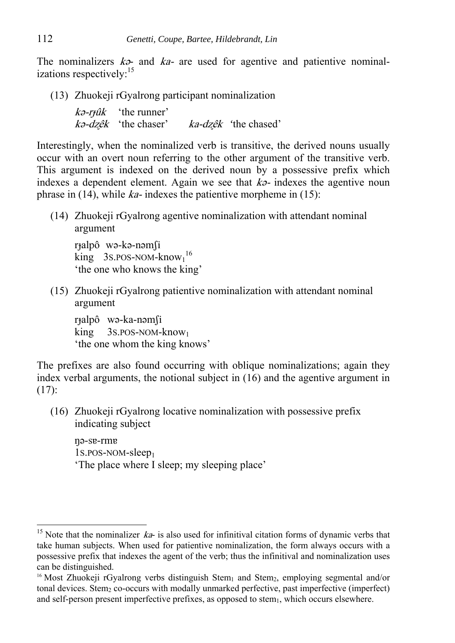The nominalizers  $k\vartheta$ - and  $ka$ - are used for agentive and patientive nominalizations respectively:<sup>15</sup>

(13) Zhuokeji rGyalrong participant nominalization

 $k\partial -r\hat{\mu}$  'the runner' <sup>k</sup>ǝ-dʐêk 'the chaser' ka-dʐêk *'*the chased'

Interestingly, when the nominalized verb is transitive, the derived nouns usually occur with an overt noun referring to the other argument of the transitive verb. This argument is indexed on the derived noun by a possessive prefix which indexes a dependent element. Again we see that  $k\ddot{\sigma}$ - indexes the agentive noun phrase in (14), while  $ka$ - indexes the patientive morpheme in (15):

(14) Zhuokeji rGyalrong agentive nominalization with attendant nominal argument

rɟalpô wǝ-kǝ-nǝmʃi  $\text{king}$  3S.POS-NOM-know<sub>1</sub><sup>16</sup> 'the one who knows the king'

(15) Zhuokeji rGyalrong patientive nominalization with attendant nominal argument

r<sub>t</sub>alpô wǝ-ka-nǝmſi king 3S.POS-NOM-know1 'the one whom the king knows'

The prefixes are also found occurring with oblique nominalizations; again they index verbal arguments, the notional subject in (16) and the agentive argument in (17):

(16) Zhuokeji rGyalrong locative nominalization with possessive prefix indicating subject

ŋə-sɐ-rmɐ 1S.POS-NOM-sleep1 'The place where I sleep; my sleeping place'

<sup>&</sup>lt;sup>15</sup> Note that the nominalizer  $ka$ - is also used for infinitival citation forms of dynamic verbs that take human subjects. When used for patientive nominalization, the form always occurs with a possessive prefix that indexes the agent of the verb; thus the infinitival and nominalization uses can be distinguished.

<sup>&</sup>lt;sup>16</sup> Most Zhuokeji rGyalrong verbs distinguish Stem<sub>1</sub> and Stem<sub>2</sub>, employing segmental and/or tonal devices. Stem<sub>2</sub> co-occurs with modally unmarked perfective, past imperfective (imperfect) and self-person present imperfective prefixes, as opposed to stem<sub>1</sub>, which occurs elsewhere.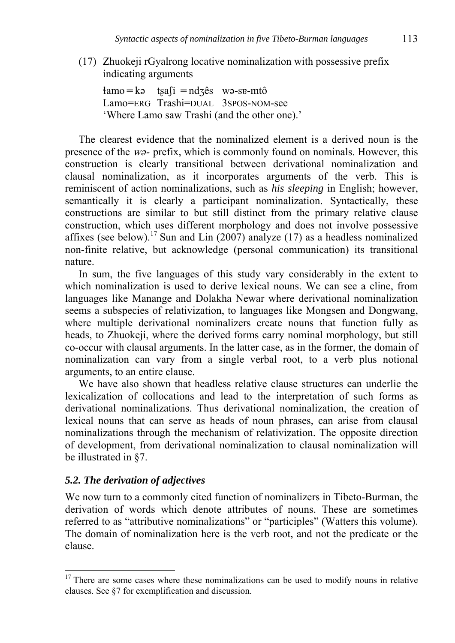(17) Zhuokeji rGyalrong locative nominalization with possessive prefix indicating arguments

 $4amo = k$ ə t $safi = ndz\hat{e}s$  wə-se-mtô Lamo=ERG Trashi=DUAL 3SPOS-NOM-see 'Where Lamo saw Trashi (and the other one).'

The clearest evidence that the nominalized element is a derived noun is the presence of the  $w\vartheta$ - prefix, which is commonly found on nominals. However, this construction is clearly transitional between derivational nominalization and clausal nominalization, as it incorporates arguments of the verb. This is reminiscent of action nominalizations, such as *his sleeping* in English; however, semantically it is clearly a participant nominalization. Syntactically, these constructions are similar to but still distinct from the primary relative clause construction, which uses different morphology and does not involve possessive affixes (see below).<sup>17</sup> Sun and Lin (2007) analyze (17) as a headless nominalized non-finite relative, but acknowledge (personal communication) its transitional nature.

In sum, the five languages of this study vary considerably in the extent to which nominalization is used to derive lexical nouns. We can see a cline, from languages like Manange and Dolakha Newar where derivational nominalization seems a subspecies of relativization, to languages like Mongsen and Dongwang, where multiple derivational nominalizers create nouns that function fully as heads, to Zhuokeji, where the derived forms carry nominal morphology, but still co-occur with clausal arguments. In the latter case, as in the former, the domain of nominalization can vary from a single verbal root, to a verb plus notional arguments, to an entire clause.

We have also shown that headless relative clause structures can underlie the lexicalization of collocations and lead to the interpretation of such forms as derivational nominalizations. Thus derivational nominalization, the creation of lexical nouns that can serve as heads of noun phrases, can arise from clausal nominalizations through the mechanism of relativization. The opposite direction of development, from derivational nominalization to clausal nominalization will be illustrated in §7.

#### *5.2. The derivation of adjectives*

<u>.</u>

We now turn to a commonly cited function of nominalizers in Tibeto-Burman, the derivation of words which denote attributes of nouns. These are sometimes referred to as "attributive nominalizations" or "participles" (Watters this volume). The domain of nominalization here is the verb root, and not the predicate or the clause.

 $17$  There are some cases where these nominalizations can be used to modify nouns in relative clauses. See §7 for exemplification and discussion.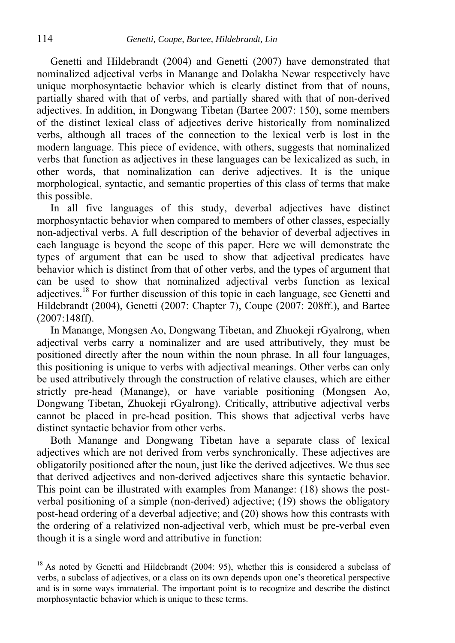Genetti and Hildebrandt (2004) and Genetti (2007) have demonstrated that nominalized adjectival verbs in Manange and Dolakha Newar respectively have unique morphosyntactic behavior which is clearly distinct from that of nouns, partially shared with that of verbs, and partially shared with that of non-derived adjectives. In addition, in Dongwang Tibetan (Bartee 2007: 150), some members of the distinct lexical class of adjectives derive historically from nominalized verbs, although all traces of the connection to the lexical verb is lost in the modern language. This piece of evidence, with others, suggests that nominalized verbs that function as adjectives in these languages can be lexicalized as such, in other words, that nominalization can derive adjectives. It is the unique morphological, syntactic, and semantic properties of this class of terms that make this possible.

In all five languages of this study, deverbal adjectives have distinct morphosyntactic behavior when compared to members of other classes, especially non-adjectival verbs. A full description of the behavior of deverbal adjectives in each language is beyond the scope of this paper. Here we will demonstrate the types of argument that can be used to show that adjectival predicates have behavior which is distinct from that of other verbs, and the types of argument that can be used to show that nominalized adjectival verbs function as lexical adjectives.18 For further discussion of this topic in each language, see Genetti and Hildebrandt (2004), Genetti (2007: Chapter 7), Coupe (2007: 208ff.), and Bartee (2007:148ff).

In Manange, Mongsen Ao, Dongwang Tibetan, and Zhuokeji rGyalrong, when adjectival verbs carry a nominalizer and are used attributively, they must be positioned directly after the noun within the noun phrase. In all four languages, this positioning is unique to verbs with adjectival meanings. Other verbs can only be used attributively through the construction of relative clauses, which are either strictly pre-head (Manange), or have variable positioning (Mongsen Ao, Dongwang Tibetan, Zhuokeji rGyalrong). Critically, attributive adjectival verbs cannot be placed in pre-head position. This shows that adjectival verbs have distinct syntactic behavior from other verbs.

Both Manange and Dongwang Tibetan have a separate class of lexical adjectives which are not derived from verbs synchronically. These adjectives are obligatorily positioned after the noun, just like the derived adjectives. We thus see that derived adjectives and non-derived adjectives share this syntactic behavior. This point can be illustrated with examples from Manange: (18) shows the postverbal positioning of a simple (non-derived) adjective; (19) shows the obligatory post-head ordering of a deverbal adjective; and (20) shows how this contrasts with the ordering of a relativized non-adjectival verb, which must be pre-verbal even though it is a single word and attributive in function:

<sup>&</sup>lt;sup>18</sup> As noted by Genetti and Hildebrandt (2004: 95), whether this is considered a subclass of verbs, a subclass of adjectives, or a class on its own depends upon one's theoretical perspective and is in some ways immaterial. The important point is to recognize and describe the distinct morphosyntactic behavior which is unique to these terms.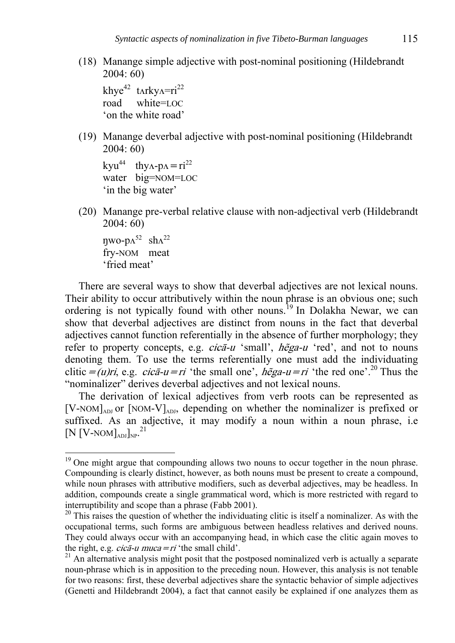(18) Manange simple adjective with post-nominal positioning (Hildebrandt 2004: 60)

khy $e^{42}$  tarky $\Delta=ri^{22}$ road white=LOC 'on the white road'

(19) Manange deverbal adjective with post-nominal positioning (Hildebrandt 2004: 60)

```
kyu<sup>44</sup> thy\Lambda-p\Lambda=ri<sup>22</sup>
water big=NOM=LOC 
 'in the big water'
```
(20) Manange pre-verbal relative clause with non-adjectival verb (Hildebrandt 2004: 60)

 $\eta$ wo-p $\Lambda^{52}$  sh $\Lambda^{22}$  fry-NOM meat 'fried meat'

<u>.</u>

There are several ways to show that deverbal adjectives are not lexical nouns. Their ability to occur attributively within the noun phrase is an obvious one; such ordering is not typically found with other nouns.<sup>19</sup> In Dolakha Newar, we can show that deverbal adjectives are distinct from nouns in the fact that deverbal adjectives cannot function referentially in the absence of further morphology; they refer to property concepts, e.g. *cica-u* 'small', *hega-u* 'red', and not to nouns denoting them. To use the terms referentially one must add the individuating clitic = (u)ri, e.g. cicā-u=ri 'the small one', hega-u=ri 'the red one'.<sup>20</sup> Thus the "nominalizer" derives deverbal adjectives and not lexical nouns.

The derivation of lexical adjectives from verb roots can be represented as  $[V-NOM]_{ADJ}$  or  $[NOM-V]_{ADJ}$ , depending on whether the nominalizer is prefixed or suffixed. As an adjective, it may modify a noun within a noun phrase, i.e.  $\rm \left[ N\left[ V\text{-NOM} \right]_{ADJ} \right]_{NP}$ .<sup>21</sup>

<sup>&</sup>lt;sup>19</sup> One might argue that compounding allows two nouns to occur together in the noun phrase. Compounding is clearly distinct, however, as both nouns must be present to create a compound, while noun phrases with attributive modifiers, such as deverbal adjectives, may be headless. In addition, compounds create a single grammatical word, which is more restricted with regard to interruptibility and scope than a phrase (Fabb 2001).

 $20$  This raises the question of whether the individuating clitic is itself a nominalizer. As with the occupational terms, such forms are ambiguous between headless relatives and derived nouns. They could always occur with an accompanying head, in which case the clitic again moves to the right, e.g. *cica-u muca = ri* 'the small child'.

 $21$  An alternative analysis might posit that the postposed nominalized verb is actually a separate noun-phrase which is in apposition to the preceding noun. However, this analysis is not tenable for two reasons: first, these deverbal adjectives share the syntactic behavior of simple adjectives (Genetti and Hildebrandt 2004), a fact that cannot easily be explained if one analyzes them as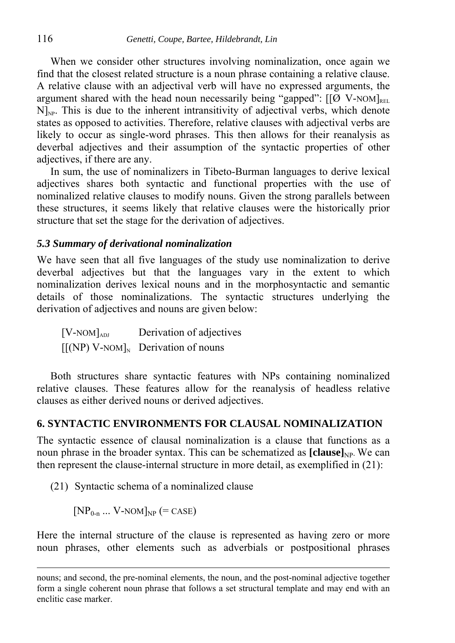When we consider other structures involving nominalization, once again we find that the closest related structure is a noun phrase containing a relative clause. A relative clause with an adjectival verb will have no expressed arguments, the argument shared with the head noun necessarily being "gapped":  $[[\mathcal{O} \ V-NOM]_{\text{REL}}]$  $N|_{NP}$ . This is due to the inherent intransitivity of adjectival verbs, which denote states as opposed to activities. Therefore, relative clauses with adjectival verbs are likely to occur as single-word phrases. This then allows for their reanalysis as deverbal adjectives and their assumption of the syntactic properties of other adjectives, if there are any.

In sum, the use of nominalizers in Tibeto-Burman languages to derive lexical adjectives shares both syntactic and functional properties with the use of nominalized relative clauses to modify nouns. Given the strong parallels between these structures, it seems likely that relative clauses were the historically prior structure that set the stage for the derivation of adjectives.

#### *5.3 Summary of derivational nominalization*

We have seen that all five languages of the study use nominalization to derive deverbal adjectives but that the languages vary in the extent to which nominalization derives lexical nouns and in the morphosyntactic and semantic details of those nominalizations. The syntactic structures underlying the derivation of adjectives and nouns are given below:

 $[V-NOM]_{ADI}$  Derivation of adjectives  $[[(NP) V- NOM]_N]$  Derivation of nouns

Both structures share syntactic features with NPs containing nominalized relative clauses. These features allow for the reanalysis of headless relative clauses as either derived nouns or derived adjectives.

### **6. SYNTACTIC ENVIRONMENTS FOR CLAUSAL NOMINALIZATION**

The syntactic essence of clausal nominalization is a clause that functions as a noun phrase in the broader syntax. This can be schematized as **[clause**]<sub>NP</sub>. We can then represent the clause-internal structure in more detail, as exemplified in (21):

(21) Syntactic schema of a nominalized clause

 $[NP_{0-n} \dots V-NOM]_{NP}$  (= CASE)

 $\overline{a}$ 

Here the internal structure of the clause is represented as having zero or more noun phrases, other elements such as adverbials or postpositional phrases

nouns; and second, the pre-nominal elements, the noun, and the post-nominal adjective together form a single coherent noun phrase that follows a set structural template and may end with an enclitic case marker.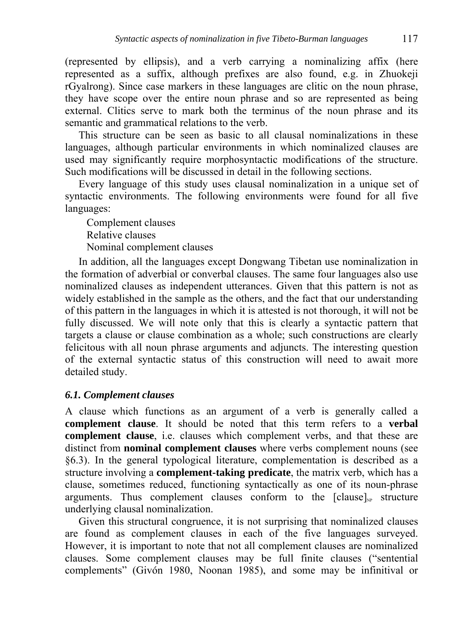(represented by ellipsis), and a verb carrying a nominalizing affix (here represented as a suffix, although prefixes are also found, e.g. in Zhuokeji rGyalrong). Since case markers in these languages are clitic on the noun phrase, they have scope over the entire noun phrase and so are represented as being external. Clitics serve to mark both the terminus of the noun phrase and its semantic and grammatical relations to the verb.

This structure can be seen as basic to all clausal nominalizations in these languages, although particular environments in which nominalized clauses are used may significantly require morphosyntactic modifications of the structure. Such modifications will be discussed in detail in the following sections.

Every language of this study uses clausal nominalization in a unique set of syntactic environments. The following environments were found for all five languages:

Complement clauses

Relative clauses

Nominal complement clauses

In addition, all the languages except Dongwang Tibetan use nominalization in the formation of adverbial or converbal clauses. The same four languages also use nominalized clauses as independent utterances. Given that this pattern is not as widely established in the sample as the others, and the fact that our understanding of this pattern in the languages in which it is attested is not thorough, it will not be fully discussed. We will note only that this is clearly a syntactic pattern that targets a clause or clause combination as a whole; such constructions are clearly felicitous with all noun phrase arguments and adjuncts. The interesting question of the external syntactic status of this construction will need to await more detailed study.

# *6.1. Complement clauses*

A clause which functions as an argument of a verb is generally called a **complement clause**. It should be noted that this term refers to a **verbal complement clause**, i.e. clauses which complement verbs, and that these are distinct from **nominal complement clauses** where verbs complement nouns (see §6.3). In the general typological literature, complementation is described as a structure involving a **complement-taking predicate**, the matrix verb, which has a clause, sometimes reduced, functioning syntactically as one of its noun-phrase arguments. Thus complement clauses conform to the  $[clause]_{NP}$  structure underlying clausal nominalization.

Given this structural congruence, it is not surprising that nominalized clauses are found as complement clauses in each of the five languages surveyed. However, it is important to note that not all complement clauses are nominalized clauses. Some complement clauses may be full finite clauses ("sentential complements" (Givón 1980, Noonan 1985), and some may be infinitival or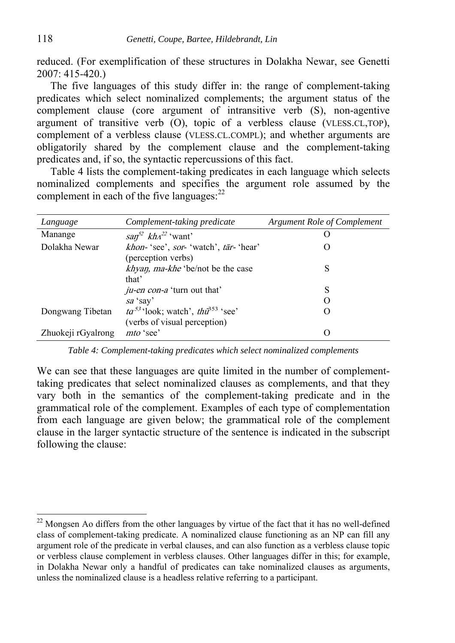reduced. (For exemplification of these structures in Dolakha Newar, see Genetti 2007: 415-420.)

The five languages of this study differ in: the range of complement-taking predicates which select nominalized complements; the argument status of the complement clause (core argument of intransitive verb (S), non-agentive argument of transitive verb (O), topic of a verbless clause (VLESS.CL,TOP), complement of a verbless clause (VLESS.CL.COMPL); and whether arguments are obligatorily shared by the complement clause and the complement-taking predicates and, if so, the syntactic repercussions of this fact.

Table 4 lists the complement-taking predicates in each language which selects nominalized complements and specifies the argument role assumed by the complement in each of the five languages: $^{22}$ 

| Language           | Complement-taking predicate                      | <b>Argument Role of Complement</b> |
|--------------------|--------------------------------------------------|------------------------------------|
| Manange            | $\sin^{52}$ kh $\lambda^{22}$ 'want'             |                                    |
| Dolakha Newar      | khon-'see', sor-'watch', tār-'hear'              |                                    |
|                    | (perception verbs)                               |                                    |
|                    | <i>khyan, ma-khe</i> 'be/not be the case         | S                                  |
|                    | that'                                            |                                    |
|                    | <i>ju-en con-a</i> 'turn out that'               | S                                  |
|                    | sa 'say'                                         |                                    |
| Dongwang Tibetan   | $ta^{53}$ 'look; watch', $th\hat{u}^{353}$ 'see' |                                    |
|                    | (verbs of visual perception)                     |                                    |
| Zhuokeji rGyalrong | mto 'see'                                        | $\left( \right)$                   |

*Table 4: Complement-taking predicates which select nominalized complements* 

We can see that these languages are quite limited in the number of complementtaking predicates that select nominalized clauses as complements, and that they vary both in the semantics of the complement-taking predicate and in the grammatical role of the complement. Examples of each type of complementation from each language are given below; the grammatical role of the complement clause in the larger syntactic structure of the sentence is indicated in the subscript following the clause:

 $22$  Mongsen Ao differs from the other languages by virtue of the fact that it has no well-defined class of complement-taking predicate. A nominalized clause functioning as an NP can fill any argument role of the predicate in verbal clauses, and can also function as a verbless clause topic or verbless clause complement in verbless clauses. Other languages differ in this; for example, in Dolakha Newar only a handful of predicates can take nominalized clauses as arguments, unless the nominalized clause is a headless relative referring to a participant.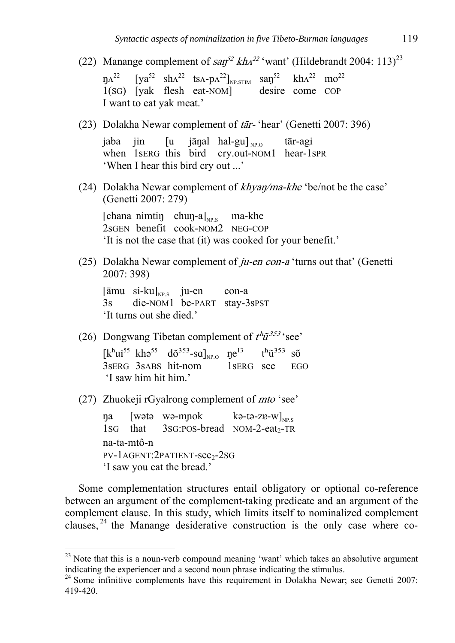- (22) Manange complement of  $\frac{2\pi}{3}$  kh<sup>22</sup> 'want' (Hildebrandt 2004: 113)<sup>23</sup>  $\eta \Lambda^{22}$  [ya<sup>52</sup> sh $\Lambda^{22}$  ts $\Lambda$ -p $\Lambda^{22}$ ]<sub>NP.STIM</sub> san<sup>52</sup> kh $\Lambda^{22}$  mo<sup>22</sup><br>1(SG) [yak flesh eat-NOM] desire come COP  $1(SG)$  [yak flesh eat-NOM] I want to eat yak meat.'
- (23) Dolakha Newar complement of tār- 'hear' (Genetti 2007: 396)

jaba jin  $[u$  jāŋal hal-gu] $_{NPO}$  tār-agi when 1 serg this bird cry.out-NOM1 hear-1spR 'When I hear this bird cry out ...'

(24) Dolakha Newar complement of *khyan/ma-khe* 'be/not be the case' (Genetti 2007: 279)

[chana nimtiŋ chuŋ-a] $_{NP.S}$  ma-khe 2sGEN benefit cook-NOM2 NEG-COP 'It is not the case that (it) was cooked for your benefit.'

(25) Dolakha Newar complement of  $ju$ -en con-a 'turns out that' (Genetti 2007: 398)

 $[\bar{a}$ mu si-ku $]_{NPS}$  ju-en con-a 3s die-NOM1 be-PART stay-3sPST 'It turns out she died.'

(26) Dongwang Tibetan complement of  $t^h \tilde{u}^{353}$  'see'

 $[k^h\text{ui}^{55} \ \text{kh}^55 \ \text{d}\tilde{\sigma}^{353} \text{-sa}]_{\text{NP},\text{O}} \ \ \text{g}^{13} \ \ \text{t}^h\tilde{\mathbf{u}}^{353} \ \ \text{s}\tilde{\mathbf{o}}$ 3sERG 3sABS hit-nom 1sERG see EGO 'I saw him hit him.'

(27) Zhuokeji rGyalrong complement of mto 'see'

1

 $\eta$ a [wətə wə-m $\eta$ ok kə-tə-z $v|_{\text{NP} s}$  $1$ SG that  $3$ SG:POS-bread NOM-2-eat<sub>2</sub>-TR na-ta-mtô-n PV-1AGENT:2PATIENT-see<sub>2</sub>-2SG 'I saw you eat the bread.'

Some complementation structures entail obligatory or optional co-reference between an argument of the complement-taking predicate and an argument of the complement clause. In this study, which limits itself to nominalized complement clauses, 24 the Manange desiderative construction is the only case where co-

 $23$  Note that this is a noun-verb compound meaning 'want' which takes an absolutive argument indicating the experiencer and a second noun phrase indicating the stimulus.

 $24$  Some infinitive complements have this requirement in Dolakha Newar; see Genetti 2007: 419-420.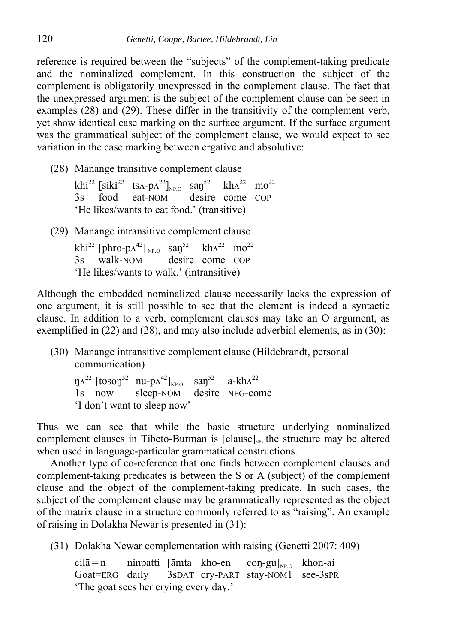reference is required between the "subjects" of the complement-taking predicate and the nominalized complement. In this construction the subject of the complement is obligatorily unexpressed in the complement clause. The fact that the unexpressed argument is the subject of the complement clause can be seen in examples (28) and (29). These differ in the transitivity of the complement verb, yet show identical case marking on the surface argument. If the surface argument was the grammatical subject of the complement clause, we would expect to see variation in the case marking between ergative and absolutive:

(28) Manange transitive complement clause

|  | khi <sup>22</sup> [siki <sup>22</sup> ts <sub>A</sub> -p <sub>A</sub> <sup>22</sup> ] <sub>NPQ</sub> san <sup>52</sup> kh <sub>A</sub> <sup>22</sup> mo <sup>22</sup> |  |  |
|--|-----------------------------------------------------------------------------------------------------------------------------------------------------------------------|--|--|
|  | 3s food eat-NOM desire come COP                                                                                                                                       |  |  |
|  | 'He likes/wants to eat food.' (transitive)                                                                                                                            |  |  |

(29) Manange intransitive complement clause

khi<sup>22</sup> [phro-p $\Lambda$ <sup>42</sup>] <sub>NP.O</sub> san<sup>52</sup> kh $\Lambda$ <sup>22</sup> mo<sup>22</sup> 3s walk-NOM desire come COP 'He likes/wants to walk.' (intransitive)

Although the embedded nominalized clause necessarily lacks the expression of one argument, it is still possible to see that the element is indeed a syntactic clause. In addition to a verb, complement clauses may take an O argument, as exemplified in (22) and (28), and may also include adverbial elements, as in (30):

(30) Manange intransitive complement clause (Hildebrandt, personal communication)

 $\eta \Lambda^{22}$  [toson<sup>52</sup> nu-p $\Lambda^{42}$ ]<sub>NP.O</sub> san<sup>52</sup> a-kh $\Lambda^{22}$ <br>1s now sleep-NOM desire NEG-co desire NEG-come 'I don't want to sleep now'

Thus we can see that while the basic structure underlying nominalized complement clauses in Tibeto-Burman is  $[clause]_{\text{S}^n}$ , the structure may be altered when used in language-particular grammatical constructions.

Another type of co-reference that one finds between complement clauses and complement-taking predicates is between the S or A (subject) of the complement clause and the object of the complement-taking predicate. In such cases, the subject of the complement clause may be grammatically represented as the object of the matrix clause in a structure commonly referred to as "raising". An example of raising in Dolakha Newar is presented in (31):

(31) Dolakha Newar complementation with raising (Genetti 2007: 409)

cilā = n ninpatti [āmta kho-en coŋ-gu]<sub>NP.O</sub> khon-ai<br>Goat = ERG daily 3sDAT cry-PART stay-NOM1 see-3sPR  $3s$ DAT Cry-PART stay-NOM1 'The goat sees her crying every day.'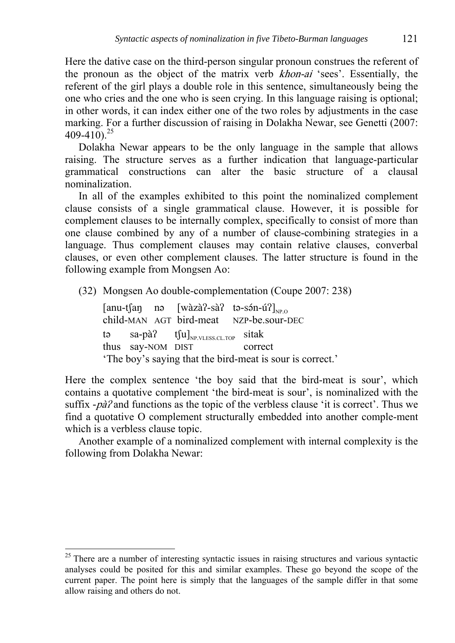Here the dative case on the third-person singular pronoun construes the referent of the pronoun as the object of the matrix verb khon-ai 'sees'. Essentially, the referent of the girl plays a double role in this sentence, simultaneously being the one who cries and the one who is seen crying. In this language raising is optional; in other words, it can index either one of the two roles by adjustments in the case marking. For a further discussion of raising in Dolakha Newar, see Genetti (2007:  $409-410$ <sup>25</sup>

Dolakha Newar appears to be the only language in the sample that allows raising. The structure serves as a further indication that language-particular grammatical constructions can alter the basic structure of a clausal nominalization.

In all of the examples exhibited to this point the nominalized complement clause consists of a single grammatical clause. However, it is possible for complement clauses to be internally complex, specifically to consist of more than one clause combined by any of a number of clause-combining strategies in a language. Thus complement clauses may contain relative clauses, converbal clauses, or even other complement clauses. The latter structure is found in the following example from Mongsen Ao:

(32) Mongsen Ao double-complementation (Coupe 2007: 238)

 [anu-tʃaŋ nǝ [wàzàʔ-sàʔ tǝ-sǝn-ú ́ ʔ]NP.O child-MAN AGT bird-meat NZP-be.sour-DEC tǝ sa-pà? tʃu] $_{NP.VLES. CLTOP}$  sitak thus say-NOM DIST correct 'The boy's saying that the bird-meat is sour is correct.'

Here the complex sentence 'the boy said that the bird-meat is sour', which contains a quotative complement 'the bird-meat is sour', is nominalized with the suffix *-*pàʔ and functions as the topic of the verbless clause 'it is correct'. Thus we find a quotative O complement structurally embedded into another comple-ment which is a verbless clause topic.

Another example of a nominalized complement with internal complexity is the following from Dolakha Newar:

1

 $25$  There are a number of interesting syntactic issues in raising structures and various syntactic analyses could be posited for this and similar examples. These go beyond the scope of the current paper. The point here is simply that the languages of the sample differ in that some allow raising and others do not.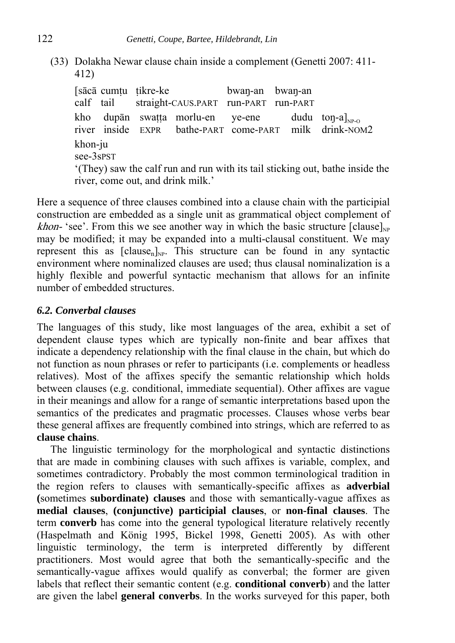(33) Dolakha Newar clause chain inside a complement (Genetti 2007: 411- 412)

 [sācā cumṭu ṭikre-ke bwaŋ-an bwaŋ-an calf tail straight-CAUS.PART run-PART run-PART kho dupān swaṭṭa morlu-en ye-ene dudu toŋ-a]<sub>NP-O</sub> river inside EXPR bathe-PART come-PART milk drink-NOM2 bathe-PART come-PART khon-ju see-3sPST '(They) saw the calf run and run with its tail sticking out, bathe inside the river, come out, and drink milk.'

Here a sequence of three clauses combined into a clause chain with the participial construction are embedded as a single unit as grammatical object complement of *khon*- 'see'. From this we see another way in which the basic structure  $\lceil \text{ clause} \rceil_{\text{NP}}$ may be modified; it may be expanded into a multi-clausal constituent. We may represent this as  $[clause_n]_{NP}$ . This structure can be found in any syntactic environment where nominalized clauses are used; thus clausal nominalization is a highly flexible and powerful syntactic mechanism that allows for an infinite number of embedded structures.

# *6.2. Converbal clauses*

The languages of this study, like most languages of the area, exhibit a set of dependent clause types which are typically non-finite and bear affixes that indicate a dependency relationship with the final clause in the chain, but which do not function as noun phrases or refer to participants (i.e. complements or headless relatives). Most of the affixes specify the semantic relationship which holds between clauses (e.g. conditional, immediate sequential). Other affixes are vague in their meanings and allow for a range of semantic interpretations based upon the semantics of the predicates and pragmatic processes. Clauses whose verbs bear these general affixes are frequently combined into strings, which are referred to as **clause chains**.

The linguistic terminology for the morphological and syntactic distinctions that are made in combining clauses with such affixes is variable, complex, and sometimes contradictory. Probably the most common terminological tradition in the region refers to clauses with semantically-specific affixes as **adverbial (**sometimes **subordinate) clauses** and those with semantically-vague affixes as **medial clauses**, **(conjunctive) participial clauses**, or **non-final clauses**. The term **converb** has come into the general typological literature relatively recently (Haspelmath and König 1995, Bickel 1998, Genetti 2005). As with other linguistic terminology, the term is interpreted differently by different practitioners. Most would agree that both the semantically-specific and the semantically-vague affixes would qualify as converbal; the former are given labels that reflect their semantic content (e.g. **conditional converb**) and the latter are given the label **general converbs**. In the works surveyed for this paper, both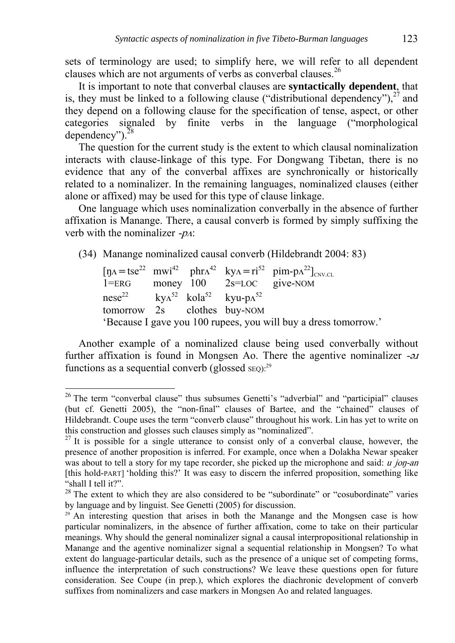sets of terminology are used; to simplify here, we will refer to all dependent clauses which are not arguments of verbs as converbal clauses.  $^{26}$ 

It is important to note that converbal clauses are **syntactically dependent**, that is, they must be linked to a following clause ("distributional dependency"),  $27$  and they depend on a following clause for the specification of tense, aspect, or other categories signaled by finite verbs in the language ("morphological dependency"). $^{28}$ 

The question for the current study is the extent to which clausal nominalization interacts with clause-linkage of this type. For Dongwang Tibetan, there is no evidence that any of the converbal affixes are synchronically or historically related to a nominalizer. In the remaining languages, nominalized clauses (either alone or affixed) may be used for this type of clause linkage.

One language which uses nominalization converbally in the absence of further affixation is Manange. There, a causal converb is formed by simply suffixing the verb with the nominalizer  $-pA$ :

(34) Manange nominalized causal converb (Hildebrandt 2004: 83)

 $[\text{y}$ <sub>A</sub> = tse<sup>22</sup> mwi<sup>42</sup> phr<sub>A</sub><sup>42</sup> ky<sub>A</sub> = ri<sup>52</sup> pim-p<sub>A</sub><sup>22</sup>]<sub>CNV.CL</sub><br>1=ERG money 100 2s=LOC give-NOM  $1 = ERG$  money  $100$ nese<sup>22</sup> kv $\Lambda^{52}$  kola<sup>52</sup> kvu-p $\Lambda^{52}$ tomorrow 2s clothes buy-NOM 'Because I gave you 100 rupees, you will buy a dress tomorrow.'

Another example of a nominalized clause being used converbally without further affixation is found in Mongsen Ao. There the agentive nominalizer  $-\partial J$ functions as a sequential converb (glossed  $\text{SEQ}$ ):<sup>29</sup>

<u>.</u>

 $26$  The term "converbal clause" thus subsumes Genetti's "adverbial" and "participial" clauses (but cf. Genetti 2005), the "non-final" clauses of Bartee, and the "chained" clauses of Hildebrandt. Coupe uses the term "converb clause" throughout his work. Lin has yet to write on this construction and glosses such clauses simply as "nominalized".

 $27$  It is possible for a single utterance to consist only of a converbal clause, however, the presence of another proposition is inferred. For example, once when a Dolakha Newar speaker was about to tell a story for my tape recorder, she picked up the microphone and said: u jon-an [this hold-PART] 'holding this?' It was easy to discern the inferred proposition, something like "shall I tell it?".

<sup>&</sup>lt;sup>28</sup> The extent to which they are also considered to be "subordinate" or "cosubordinate" varies by language and by linguist. See Genetti (2005) for discussion.

<sup>&</sup>lt;sup>29</sup> An interesting question that arises in both the Manange and the Mongsen case is how particular nominalizers, in the absence of further affixation, come to take on their particular meanings. Why should the general nominalizer signal a causal interpropositional relationship in Manange and the agentive nominalizer signal a sequential relationship in Mongsen? To what extent do language-particular details, such as the presence of a unique set of competing forms, influence the interpretation of such constructions? We leave these questions open for future consideration. See Coupe (in prep.), which explores the diachronic development of converb suffixes from nominalizers and case markers in Mongsen Ao and related languages.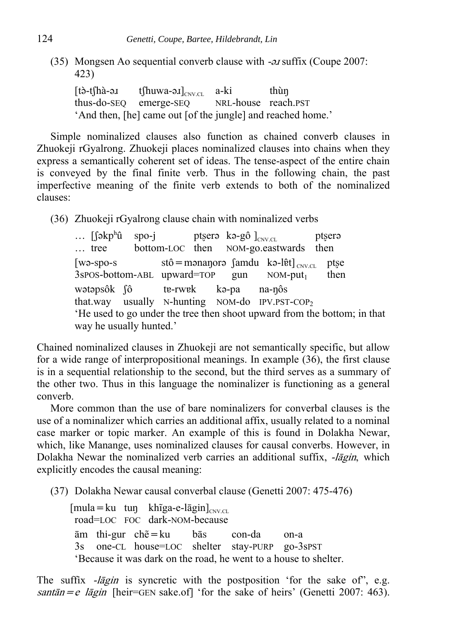(35) Mongsen Ao sequential converb clause with -*ai* suffix (Coupe 2007: 423)

 $[t\delta-t]$ hà-ə. $t$  t∫huwa-ə. $I]_{CN,CL}$  a-ki thùn thus-do-SEQ emerge-SEQ NRL-house reach.PST 'And then, [he] came out [of the jungle] and reached home.'

Simple nominalized clauses also function as chained converb clauses in Zhuokeji rGyalrong. Zhuokeji places nominalized clauses into chains when they express a semantically coherent set of ideas. The tense-aspect of the entire chain is conveyed by the final finite verb. Thus in the following chain, the past imperfective meaning of the finite verb extends to both of the nominalized clauses:

(36) Zhuokeji rGyalrong clause chain with nominalized verbs

 $\ldots$  [fəkp<sup>h</sup>û spo-j ptʂerǝ kǝ-gô  $]_{\text{CNV CL}}$  ptʂerǝ … tree bottom-LOC then NOM-go.eastwards then [wǝ-spo-s stô=mǝnaŋorǝ famdu kǝ-lɐ̂t]<sub> CNV.CL</sub> ptʂe<br>3spos-bottom-ABL upward=TOP gun NOM-put<sub>1</sub> then  $3$ spos-bottom-ABL upward=TOP gun NOM-put<sub>1</sub> then wətəpsôk fô te-rwek kə-pa na-nôs  $that.$ way usually N-hunting NOM-do IPV.PST-COP<sub>2</sub> 'He used to go under the tree then shoot upward from the bottom; in that way he usually hunted.'

Chained nominalized clauses in Zhuokeji are not semantically specific, but allow for a wide range of interpropositional meanings. In example (36), the first clause is in a sequential relationship to the second, but the third serves as a summary of the other two. Thus in this language the nominalizer is functioning as a general converb.

More common than the use of bare nominalizers for converbal clauses is the use of a nominalizer which carries an additional affix, usually related to a nominal case marker or topic marker. An example of this is found in Dolakha Newar, which, like Manange, uses nominalized clauses for causal converbs. However, in Dolakha Newar the nominalized verb carries an additional suffix, -lagin, which explicitly encodes the causal meaning:

(37) Dolakha Newar causal converbal clause (Genetti 2007: 475-476)

 $[mula=ku$  tuŋ khĩga-e-lāgin] $_{CNCCL}$ road=LOC FOC dark-NOM-because ām thi-gur chẽ=ku bās con-da on-a 3s one-CL house=LOC shelter stay-PURP go-3sPST 'Because it was dark on the road, he went to a house to shelter.

The suffix  $-l\bar{a}g\bar{a}h$  is syncretic with the postposition 'for the sake of", e.g. santān  $=e$  lāgin [heir=GEN sake.of] 'for the sake of heirs' (Genetti 2007: 463).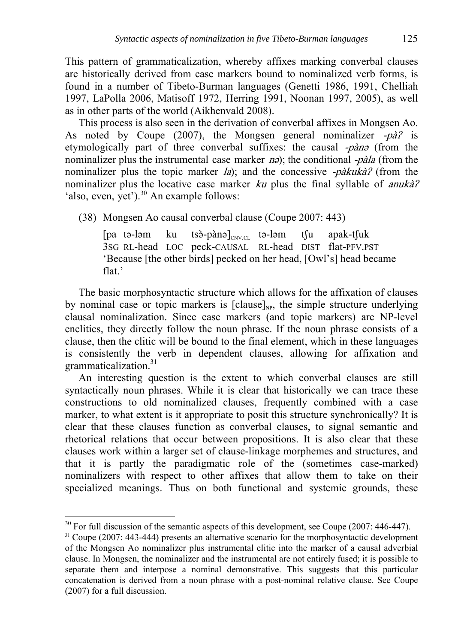This pattern of grammaticalization, whereby affixes marking converbal clauses are historically derived from case markers bound to nominalized verb forms, is found in a number of Tibeto-Burman languages (Genetti 1986, 1991, Chelliah 1997, LaPolla 2006, Matisoff 1972, Herring 1991, Noonan 1997, 2005), as well as in other parts of the world (Aikhenvald 2008).

This process is also seen in the derivation of converbal affixes in Mongsen Ao. As noted by Coupe (2007), the Mongsen general nominalizer  $-p\hat{a}$  is etymologically part of three converbal suffixes: the causal -pàna (from the nominalizer plus the instrumental case marker  $n\vartheta$ ); the conditional -*pàla* (from the nominalizer plus the topic marker *la*); and the concessive  $-\frac{p\hat{a}}{k}$  from the nominalizer plus the locative case marker ku plus the final syllable of *anukà?* 'also, even, yet').<sup>30</sup> An example follows:

(38) Mongsen Ao causal converbal clause (Coupe 2007: 443)

[pa tə-ləm ku tsə̀-pànə] $_{\text{CNV,CL}}$  tə-ləm t $\int$ u apak-t $\int$ uk 3SG RL-head LOC peck-CAUSAL RL-head DIST flat-PFV.PST 'Because [the other birds] pecked on her head, [Owl's] head became flat.'

The basic morphosyntactic structure which allows for the affixation of clauses by nominal case or topic markers is  $\lceil \text{clause} \rceil_{\text{NP}}$ , the simple structure underlying clausal nominalization. Since case markers (and topic markers) are NP-level enclitics, they directly follow the noun phrase. If the noun phrase consists of a clause, then the clitic will be bound to the final element, which in these languages is consistently the verb in dependent clauses, allowing for affixation and grammaticalization. $31$ 

An interesting question is the extent to which converbal clauses are still syntactically noun phrases. While it is clear that historically we can trace these constructions to old nominalized clauses, frequently combined with a case marker, to what extent is it appropriate to posit this structure synchronically? It is clear that these clauses function as converbal clauses, to signal semantic and rhetorical relations that occur between propositions. It is also clear that these clauses work within a larger set of clause-linkage morphemes and structures, and that it is partly the paradigmatic role of the (sometimes case-marked) nominalizers with respect to other affixes that allow them to take on their specialized meanings. Thus on both functional and systemic grounds, these

<u>.</u>

 $30$  For full discussion of the semantic aspects of this development, see Coupe (2007: 446-447).<br><sup>31</sup> Coupe (2007: 443-444) presents an alternative scenario for the morphosyntactic development

of the Mongsen Ao nominalizer plus instrumental clitic into the marker of a causal adverbial clause. In Mongsen, the nominalizer and the instrumental are not entirely fused; it is possible to separate them and interpose a nominal demonstrative. This suggests that this particular concatenation is derived from a noun phrase with a post-nominal relative clause. See Coupe (2007) for a full discussion.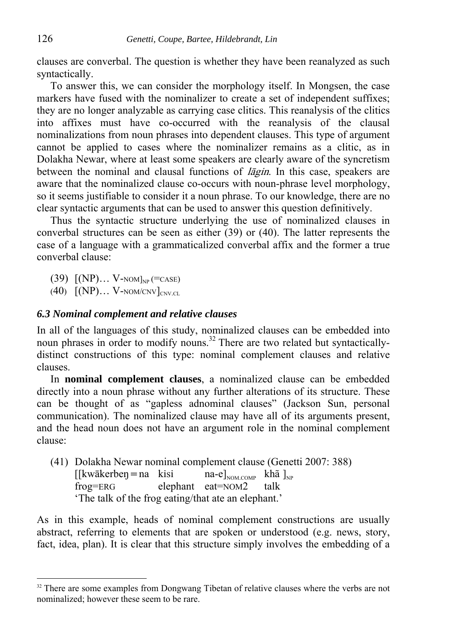clauses are converbal. The question is whether they have been reanalyzed as such syntactically.

To answer this, we can consider the morphology itself. In Mongsen, the case markers have fused with the nominalizer to create a set of independent suffixes; they are no longer analyzable as carrying case clitics. This reanalysis of the clitics into affixes must have co-occurred with the reanalysis of the clausal nominalizations from noun phrases into dependent clauses. This type of argument cannot be applied to cases where the nominalizer remains as a clitic, as in Dolakha Newar, where at least some speakers are clearly aware of the syncretism between the nominal and clausal functions of <sup>l</sup>āgin. In this case, speakers are aware that the nominalized clause co-occurs with noun-phrase level morphology, so it seems justifiable to consider it a noun phrase. To our knowledge, there are no clear syntactic arguments that can be used to answer this question definitively.

Thus the syntactic structure underlying the use of nominalized clauses in converbal structures can be seen as either (39) or (40). The latter represents the case of a language with a grammaticalized converbal affix and the former a true converbal clause:

- $(39)$   $[(NP)... V-NOM]_{NP} (=CASE)$
- $(40)$   $[(NP)... V-NOM/CNV]_{CNVCL}$

#### *6.3 Nominal complement and relative clauses*

In all of the languages of this study, nominalized clauses can be embedded into noun phrases in order to modify nouns.<sup>32</sup> There are two related but syntacticallydistinct constructions of this type: nominal complement clauses and relative clauses.

In **nominal complement clauses**, a nominalized clause can be embedded directly into a noun phrase without any further alterations of its structure. These can be thought of as "gapless adnominal clauses" (Jackson Sun, personal communication). The nominalized clause may have all of its arguments present, and the head noun does not have an argument role in the nominal complement clause:

(41) Dolakha Newar nominal complement clause (Genetti 2007: 388) [[kwākerbeŋ = na kisi na-e]<sub>NOM.COMP</sub> khã ]<sub>NP</sub> frog=ERG elephant eat=NOM2 talk elephant eat=NOM2 talk 'The talk of the frog eating/that ate an elephant.'

As in this example, heads of nominal complement constructions are usually abstract, referring to elements that are spoken or understood (e.g. news, story, fact, idea, plan). It is clear that this structure simply involves the embedding of a

<sup>&</sup>lt;sup>32</sup> There are some examples from Dongwang Tibetan of relative clauses where the verbs are not nominalized; however these seem to be rare.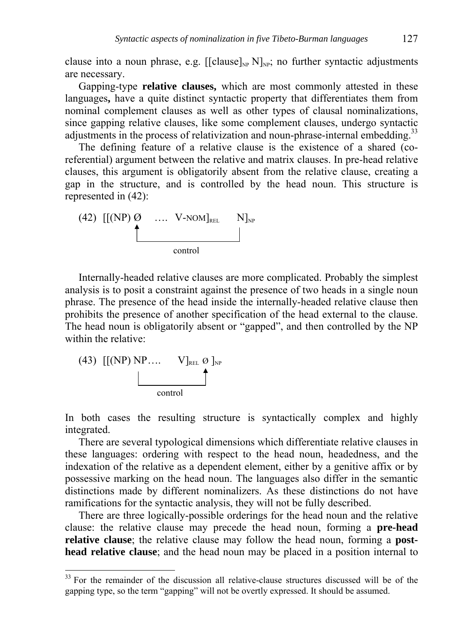clause into a noun phrase, e.g.  $[[clause]_{NP} N]_{NP}$ ; no further syntactic adjustments are necessary.

Gapping-type **relative clauses,** which are most commonly attested in these languages**,** have a quite distinct syntactic property that differentiates them from nominal complement clauses as well as other types of clausal nominalizations, since gapping relative clauses, like some complement clauses, undergo syntactic adjustments in the process of relativization and noun-phrase-internal embedding.<sup>33</sup>

The defining feature of a relative clause is the existence of a shared (coreferential) argument between the relative and matrix clauses. In pre-head relative clauses, this argument is obligatorily absent from the relative clause, creating a gap in the structure, and is controlled by the head noun. This structure is represented in (42):



Internally-headed relative clauses are more complicated. Probably the simplest analysis is to posit a constraint against the presence of two heads in a single noun phrase. The presence of the head inside the internally-headed relative clause then prohibits the presence of another specification of the head external to the clause. The head noun is obligatorily absent or "gapped", and then controlled by the NP within the relative:

(43) 
$$
[[(NP) NP... V]_{REL} \oslash ]_{NP}
$$
control

<u>.</u>

In both cases the resulting structure is syntactically complex and highly integrated.

There are several typological dimensions which differentiate relative clauses in these languages: ordering with respect to the head noun, headedness, and the indexation of the relative as a dependent element, either by a genitive affix or by possessive marking on the head noun. The languages also differ in the semantic distinctions made by different nominalizers. As these distinctions do not have ramifications for the syntactic analysis, they will not be fully described.

There are three logically-possible orderings for the head noun and the relative clause: the relative clause may precede the head noun, forming a **pre-head relative clause**; the relative clause may follow the head noun, forming a **posthead relative clause**; and the head noun may be placed in a position internal to

 $33$  For the remainder of the discussion all relative-clause structures discussed will be of the gapping type, so the term "gapping" will not be overtly expressed. It should be assumed.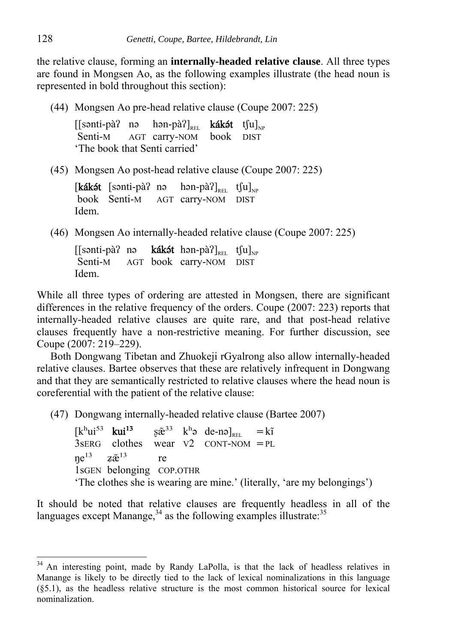the relative clause, forming an **internally-headed relative clause**. All three types are found in Mongsen Ao, as the following examples illustrate (the head noun is represented in bold throughout this section):

(44) Mongsen Ao pre-head relative clause (Coupe 2007: 225)

 $[[\text{sonti-pà? no } \text{hon-pà?}]_{\text{RFL}}$  kákét t $[u]_{\text{NP}}$  Senti-M AGT carry-NOM book DIST 'The book that Senti carried'

(45) Mongsen Ao post-head relative clause (Coupe 2007: 225)

[**kákét** [sənti-pà? nə hən-pà?]<sub>REL</sub> tʃu]<sub>NP</sub> book Senti-M AGT carry-NOM DIST AGT carry-NOM DIST Idem.

(46) Mongsen Ao internally-headed relative clause (Coupe 2007: 225)

[[sənti-pà? nə kákət hən-pà?]<sub>REL</sub> tʃu]<sub>NP</sub> Senti-M AGT book carry-NOM DIST Idem.

While all three types of ordering are attested in Mongsen, there are significant differences in the relative frequency of the orders. Coupe (2007: 223) reports that internally-headed relative clauses are quite rare, and that post-head relative clauses frequently have a non-restrictive meaning. For further discussion, see Coupe (2007: 219–229).

Both Dongwang Tibetan and Zhuokeji rGyalrong also allow internally-headed relative clauses. Bartee observes that these are relatively infrequent in Dongwang and that they are semantically restricted to relative clauses where the head noun is coreferential with the patient of the relative clause:

(47) Dongwang internally-headed relative clause (Bartee 2007)

 $[k^{\text{h}}ui^{53}$  kui<sup>13</sup> ş $\tilde{\mathfrak{B}}^{33}$  k<sup>h</sup>ə de-nə]<sub>REL</sub> = kĩ<br>3sERG clothes wear V2 CONT-NOM = PL wear  $V2$  CONT-NOM  $=$ PL  $ne^{13}$   $z\tilde{e}^{13}$  re 1sGEN belonging COP.OTHR 'The clothes she is wearing are mine.' (literally, 'are my belongings')

It should be noted that relative clauses are frequently headless in all of the languages except Manange,  $34$  as the following examples illustrate:  $35$ 

<sup>&</sup>lt;sup>34</sup> An interesting point, made by Randy LaPolla, is that the lack of headless relatives in Manange is likely to be directly tied to the lack of lexical nominalizations in this language (§5.1), as the headless relative structure is the most common historical source for lexical nominalization.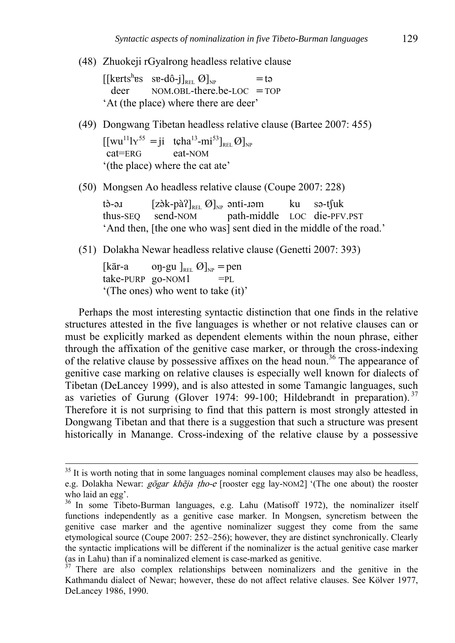(48) Zhuokeji rGyalrong headless relative clause

[[kɐrtsʰɐs sɐ-dô-j] $_{\texttt{REL}}$  Ø]<sub>NP</sub> = tə deer NOM.OBL-there.be-LOC = TOP 'At (the place) where there are deer'

(49) Dongwang Tibetan headless relative clause (Bartee 2007: 455)

 $[[wu^{11}]Y^{55} = ji \text{ tçha}^{13} - mi^{53}]_{REL} \mathcal{O}]_{NP}$ <br>cat=ERG eat-NOM '(the place) where the cat ate'

(50) Mongsen Ao headless relative clause (Coupe 2007: 228)

tè-ə $I$  [zə̀k-pà $\Omega$ <sub>REL</sub> Ø]<sub>NP</sub> ənti- $I$ əm ku sə-t $\int u$ k thus-SEQ send-NOM path-middle LOC die-PFV.PST 'And then, [the one who was] sent died in the middle of the road.'

(51) Dolakha Newar headless relative clause (Genetti 2007: 393)

[kār-a oŋ-gu ]<sub>REL</sub>  $\varnothing$ ]<sub>NP</sub> = pen  $take-PURP$   $go-NOM1$  =PL '(The ones) who went to take (it)'

Perhaps the most interesting syntactic distinction that one finds in the relative structures attested in the five languages is whether or not relative clauses can or must be explicitly marked as dependent elements within the noun phrase, either through the affixation of the genitive case marker, or through the cross-indexing of the relative clause by possessive affixes on the head noun.<sup>36</sup> The appearance of genitive case marking on relative clauses is especially well known for dialects of Tibetan (DeLancey 1999), and is also attested in some Tamangic languages, such as varieties of Gurung (Glover 1974: 99-100; Hildebrandt in preparation).<sup>37</sup> Therefore it is not surprising to find that this pattern is most strongly attested in Dongwang Tibetan and that there is a suggestion that such a structure was present historically in Manange. Cross-indexing of the relative clause by a possessive

 $35$  It is worth noting that in some languages nominal complement clauses may also be headless, e.g. Dolakha Newar: gõgar khẽja tho-e [rooster egg lay-NOM2] '(The one about) the rooster who laid an egg'.

<sup>36</sup> In some Tibeto-Burman languages, e.g. Lahu (Matisoff 1972), the nominalizer itself functions independently as a genitive case marker. In Mongsen, syncretism between the genitive case marker and the agentive nominalizer suggest they come from the same etymological source (Coupe 2007: 252–256); however, they are distinct synchronically. Clearly the syntactic implications will be different if the nominalizer is the actual genitive case marker (as in Lahu) than if a nominalized element is case-marked as genitive.

 $37$  There are also complex relationships between nominalizers and the genitive in the Kathmandu dialect of Newar; however, these do not affect relative clauses. See Kölver 1977, DeLancey 1986, 1990.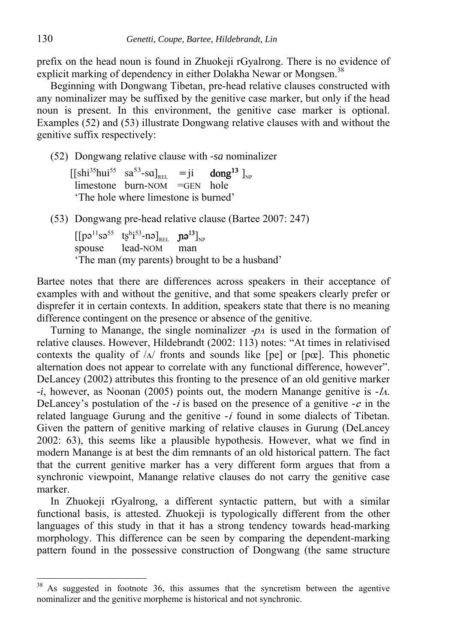prefix on the head noun is found in Zhuokeji rGyalrong. There is no evidence of explicit marking of dependency in either Dolakha Newar or Mongsen.<sup>38</sup>

Beginning with Dongwang Tibetan, pre-head relative clauses constructed with any nominalizer may be suffixed by the genitive case marker, but only if the head noun is present. In this environment, the genitive case marker is optional. Examples (52) and (53) illustrate Dongwang relative clauses with and without the genitive suffix respectively:

(52) Dongwang relative clause with *-sa* nominalizer

 $[[\text{shi}^{35}\text{hui}^{55} \quad \text{sa}^{53}\text{-}\text{sa}]_{\text{REL}} = \text{ji}$  dong<sup>13</sup>  $]_{\text{NP}}$  $l$  limestone burn-NOM =GEN hole 'The hole where limestone is burned'

(53) Dongwang pre-head relative clause (Bartee 2007: 247)

 $\left[\left[\mathsf{p}\mathsf{o}^{11}\mathsf{s}\mathsf{o}^{55}\ \ \ \mathsf{t}\mathsf{s}^{\mathsf{h}}\mathsf{i}^{53}\text{-}\mathsf{n}\mathsf{o}\right]_{\mathtt{REL}}\ \ \ \mathsf{p}\mathsf{a}^{13}\right]_{\mathtt{NP}}$ spouse lead-NOM man 'The man (my parents) brought to be a husband'

Bartee notes that there are differences across speakers in their acceptance of examples with and without the genitive, and that some speakers clearly prefer or disprefer it in certain contexts. In addition, speakers state that there is no meaning difference contingent on the presence or absence of the genitive.

Turning to Manange, the single nominalizer  $-\rho A$  is used in the formation of relative clauses. However, Hildebrandt (2002: 113) notes: "At times in relativised contexts the quality of  $\Lambda$  fronts and sounds like [pe] or [pœ]. This phonetic alternation does not appear to correlate with any functional difference, however". DeLancey (2002) attributes this fronting to the presence of an old genitive marker *-i*, however, as Noonan (2005) points out, the modern Manange genitive is *-*<sup>l</sup>ʌ. DeLancey's postulation of the *-*i is based on the presence of a genitive *-*<sup>e</sup> in the related language Gurung and the genitive *-*<sup>i</sup> found in some dialects of Tibetan. Given the pattern of genitive marking of relative clauses in Gurung (DeLancey 2002: 63), this seems like a plausible hypothesis. However, what we find in modern Manange is at best the dim remnants of an old historical pattern. The fact that the current genitive marker has a very different form argues that from a synchronic viewpoint, Manange relative clauses do not carry the genitive case marker.

In Zhuokeji rGyalrong, a different syntactic pattern, but with a similar functional basis, is attested. Zhuokeji is typologically different from the other languages of this study in that it has a strong tendency towards head-marking morphology. This difference can be seen by comparing the dependent-marking pattern found in the possessive construction of Dongwang (the same structure

As suggested in footnote 36, this assumes that the syncretism between the agentive nominalizer and the genitive morpheme is historical and not synchronic.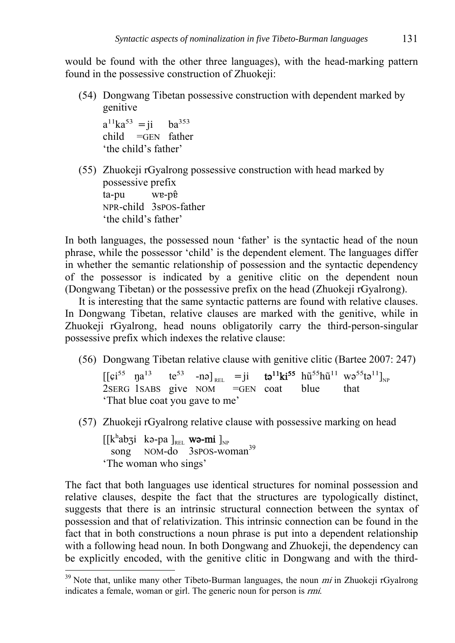would be found with the other three languages), with the head-marking pattern found in the possessive construction of Zhuokeji:

(54) Dongwang Tibetan possessive construction with dependent marked by genitive

 $a^{11}ka^{53} = i$  ba<sup>353</sup> child =GEN father 'the child's father'

(55) Zhuokeji rGyalrong possessive construction with head marked by possessive prefix ta-pu wɐ-pɐ̂ NPR-child 3sPOS-father 'the child's father'

In both languages, the possessed noun 'father' is the syntactic head of the noun phrase, while the possessor 'child' is the dependent element. The languages differ in whether the semantic relationship of possession and the syntactic dependency of the possessor is indicated by a genitive clitic on the dependent noun (Dongwang Tibetan) or the possessive prefix on the head (Zhuokeji rGyalrong).

It is interesting that the same syntactic patterns are found with relative clauses. In Dongwang Tibetan, relative clauses are marked with the genitive, while in Zhuokeji rGyalrong, head nouns obligatorily carry the third-person-singular possessive prefix which indexes the relative clause:

(56) Dongwang Tibetan relative clause with genitive clitic (Bartee 2007: 247)

 $[[\varphi^{55} \text{ na}^{13} \text{ te}^{53} \text{ -nə}]_{\text{REL}} = ji \text{ ta}^{11} \text{ki}^{55} \text{ h}{\tilde{u}}^{55} \text{h}{\tilde{u}}^{11} \text{ wo}^{55} \text{ta}^{11}]_{\text{NP}}$ 2SERG 1SABS give NOM =GEN coat blue that 'That blue coat you gave to me'

(57) Zhuokeji rGyalrong relative clause with possessive marking on head

 $[[k^{\text{h}}\text{ab}3i \ \text{kə-pa}]_{\text{\tiny{REL}}}$  wə-mi  $]_{\text{\tiny{NP}}}$ song NOM-do 3spos-woman<sup>39</sup> 'The woman who sings'

<u>.</u>

The fact that both languages use identical structures for nominal possession and relative clauses, despite the fact that the structures are typologically distinct, suggests that there is an intrinsic structural connection between the syntax of possession and that of relativization. This intrinsic connection can be found in the fact that in both constructions a noun phrase is put into a dependent relationship with a following head noun. In both Dongwang and Zhuokeji, the dependency can be explicitly encoded, with the genitive clitic in Dongwang and with the third-

 $39$  Note that, unlike many other Tibeto-Burman languages, the noun *mi* in Zhuokeji rGyalrong indicates a female, woman or girl. The generic noun for person is rmi.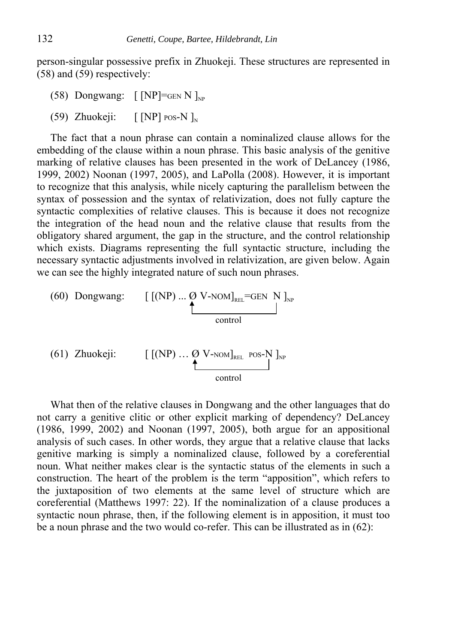person-singular possessive prefix in Zhuokeji. These structures are represented in (58) and (59) respectively:

- (58) Dongwang:  $\lceil NP \rceil =$ GEN N  $\vert_{NP}$
- (59) Zhuokeji:  $\lceil NP \rceil$  POS-N  $\rceil_{N}$

The fact that a noun phrase can contain a nominalized clause allows for the embedding of the clause within a noun phrase. This basic analysis of the genitive marking of relative clauses has been presented in the work of DeLancey (1986, 1999, 2002) Noonan (1997, 2005), and LaPolla (2008). However, it is important to recognize that this analysis, while nicely capturing the parallelism between the syntax of possession and the syntax of relativization, does not fully capture the syntactic complexities of relative clauses. This is because it does not recognize the integration of the head noun and the relative clause that results from the obligatory shared argument, the gap in the structure, and the control relationship which exists. Diagrams representing the full syntactic structure, including the necessary syntactic adjustments involved in relativization, are given below. Again we can see the highly integrated nature of such noun phrases.

(60) Dongwang: 
$$
\left[\begin{array}{cc} \text{[(NP)}...\oslash\text{V-NOM}\end{array}\right]_{\text{REL}}=\text{GEN N}\right]_{\text{NP}}
$$
control

(61) Zhuokeji: 
$$
\begin{bmatrix} [(NP) \dots \emptyset \text{ V-nom}]_{\text{REL}} & \text{pos-N} \\ \downarrow & \downarrow & \downarrow \\ \text{control} & \end{bmatrix}_{NP}
$$

What then of the relative clauses in Dongwang and the other languages that do not carry a genitive clitic or other explicit marking of dependency? DeLancey (1986, 1999, 2002) and Noonan (1997, 2005), both argue for an appositional analysis of such cases. In other words, they argue that a relative clause that lacks genitive marking is simply a nominalized clause, followed by a coreferential noun. What neither makes clear is the syntactic status of the elements in such a construction. The heart of the problem is the term "apposition", which refers to the juxtaposition of two elements at the same level of structure which are coreferential (Matthews 1997: 22). If the nominalization of a clause produces a syntactic noun phrase, then, if the following element is in apposition, it must too be a noun phrase and the two would co-refer. This can be illustrated as in (62):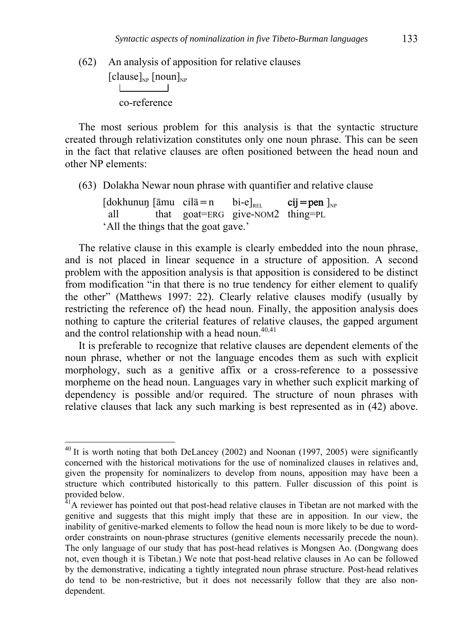(62) An analysis of apposition for relative clauses  $\left[\text{clause}\right]_{NP}$   $\left[\text{noun}\right]_{NP}$ co-reference

The most serious problem for this analysis is that the syntactic structure created through relativization constitutes only one noun phrase. This can be seen in the fact that relative clauses are often positioned between the head noun and other NP elements:

(63) Dolakha Newar noun phrase with quantifier and relative clause

 $\left[\text{dokhunun} \left( \bar{\text{a}} \text{mu } \text{c} \text{ i} \right]_{\bar{\text{a}}} = \text{n} \quad \text{bi-e}\right]_{\text{ref}}$  cij $=$  pen  $\left.\right]_{\text{NP}}$  all that goat=ERG give-NOM2 thing=PL 'All the things that the goat gave.'

The relative clause in this example is clearly embedded into the noun phrase, and is not placed in linear sequence in a structure of apposition. A second problem with the apposition analysis is that apposition is considered to be distinct from modification "in that there is no true tendency for either element to qualify the other" (Matthews 1997: 22). Clearly relative clauses modify (usually by restricting the reference of) the head noun. Finally, the apposition analysis does nothing to capture the criterial features of relative clauses, the gapped argument and the control relationship with a head noun.<sup>40,41</sup>

It is preferable to recognize that relative clauses are dependent elements of the noun phrase, whether or not the language encodes them as such with explicit morphology, such as a genitive affix or a cross-reference to a possessive morpheme on the head noun. Languages vary in whether such explicit marking of dependency is possible and/or required. The structure of noun phrases with relative clauses that lack any such marking is best represented as in (42) above.

1

 $40$  It is worth noting that both DeLancey (2002) and Noonan (1997, 2005) were significantly concerned with the historical motivations for the use of nominalized clauses in relatives and, given the propensity for nominalizers to develop from nouns, apposition may have been a structure which contributed historically to this pattern. Fuller discussion of this point is provided below.

 $41A$  reviewer has pointed out that post-head relative clauses in Tibetan are not marked with the genitive and suggests that this might imply that these are in apposition. In our view, the inability of genitive-marked elements to follow the head noun is more likely to be due to wordorder constraints on noun-phrase structures (genitive elements necessarily precede the noun). The only language of our study that has post-head relatives is Mongsen Ao. (Dongwang does not, even though it is Tibetan.) We note that post-head relative clauses in Ao can be followed by the demonstrative, indicating a tightly integrated noun phrase structure. Post-head relatives do tend to be non-restrictive, but it does not necessarily follow that they are also nondependent.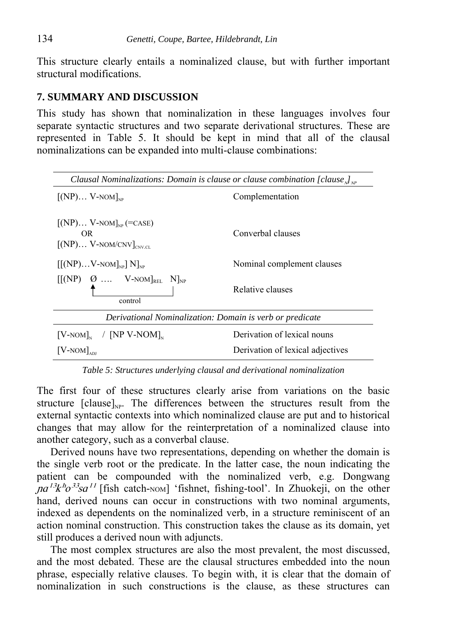This structure clearly entails a nominalized clause, but with further important structural modifications.

### **7. SUMMARY AND DISCUSSION**

This study has shown that nominalization in these languages involves four separate syntactic structures and two separate derivational structures. These are represented in Table 5. It should be kept in mind that all of the clausal nominalizations can be expanded into multi-clause combinations:

| Clausal Nominalizations: Domain is clause or clause combination [clause $\int_{N_P}$ |                                  |  |  |
|--------------------------------------------------------------------------------------|----------------------------------|--|--|
| $\left[\text{(NP)}\right]_{\text{N.P.}}$ V-NOM $\right]_{\text{NP}}$                 | Complementation                  |  |  |
| $[(NP) V-NOM]_{NP} (=CASE)$<br>OR.<br>$[(NP) V-NOM/CNV]_{CNV CL}$                    | Converbal clauses                |  |  |
| $[[(NP)V-NOM]_{NP}] N]_{NP}$                                                         | Nominal complement clauses       |  |  |
| $[[(NP) \quad \emptyset \quad  \quad V-NOM]_{REL} \quad N]_{NP}$<br>control          | Relative clauses                 |  |  |
| Derivational Nominalization: Domain is verb or predicate                             |                                  |  |  |
| $[V-NOM]_{N}$ / [NP V-NOM] <sub>N</sub>                                              | Derivation of lexical nouns      |  |  |
| $[V-NOM]_{ADI}$                                                                      | Derivation of lexical adjectives |  |  |

*Table 5: Structures underlying clausal and derivational nominalization* 

The first four of these structures clearly arise from variations on the basic structure  $\lceil \text{clause} \rceil_{\text{NP}}$ . The differences between the structures result from the external syntactic contexts into which nominalized clause are put and to historical changes that may allow for the reinterpretation of a nominalized clause into another category, such as a converbal clause.

Derived nouns have two representations, depending on whether the domain is the single verb root or the predicate. In the latter case, the noun indicating the patient can be compounded with the nominalized verb, e.g. Dongwang  $na^{13}k^b\sigma^{33}sa^{11}$  [fish catch-NOM] 'fishnet, fishing-tool'. In Zhuokeji, on the other hand, derived nouns can occur in constructions with two nominal arguments, indexed as dependents on the nominalized verb, in a structure reminiscent of an action nominal construction. This construction takes the clause as its domain, yet still produces a derived noun with adjuncts.

The most complex structures are also the most prevalent, the most discussed, and the most debated. These are the clausal structures embedded into the noun phrase, especially relative clauses. To begin with, it is clear that the domain of nominalization in such constructions is the clause, as these structures can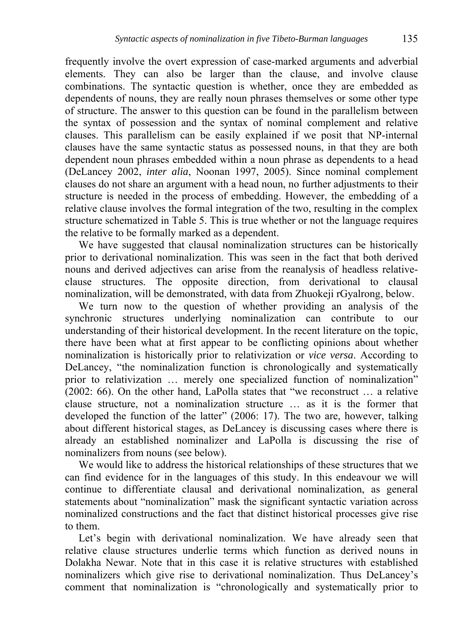frequently involve the overt expression of case-marked arguments and adverbial elements. They can also be larger than the clause, and involve clause combinations. The syntactic question is whether, once they are embedded as dependents of nouns, they are really noun phrases themselves or some other type of structure. The answer to this question can be found in the parallelism between the syntax of possession and the syntax of nominal complement and relative clauses. This parallelism can be easily explained if we posit that NP-internal clauses have the same syntactic status as possessed nouns, in that they are both dependent noun phrases embedded within a noun phrase as dependents to a head (DeLancey 2002, *inter alia*, Noonan 1997, 2005). Since nominal complement clauses do not share an argument with a head noun, no further adjustments to their structure is needed in the process of embedding. However, the embedding of a relative clause involves the formal integration of the two, resulting in the complex structure schematized in Table 5. This is true whether or not the language requires the relative to be formally marked as a dependent.

We have suggested that clausal nominalization structures can be historically prior to derivational nominalization. This was seen in the fact that both derived nouns and derived adjectives can arise from the reanalysis of headless relativeclause structures. The opposite direction, from derivational to clausal nominalization, will be demonstrated, with data from Zhuokeji rGyalrong, below.

We turn now to the question of whether providing an analysis of the synchronic structures underlying nominalization can contribute to our understanding of their historical development. In the recent literature on the topic, there have been what at first appear to be conflicting opinions about whether nominalization is historically prior to relativization or *vice versa*. According to DeLancey, "the nominalization function is chronologically and systematically prior to relativization … merely one specialized function of nominalization" (2002: 66). On the other hand, LaPolla states that "we reconstruct … a relative clause structure, not a nominalization structure … as it is the former that developed the function of the latter" (2006: 17). The two are, however, talking about different historical stages, as DeLancey is discussing cases where there is already an established nominalizer and LaPolla is discussing the rise of nominalizers from nouns (see below).

We would like to address the historical relationships of these structures that we can find evidence for in the languages of this study. In this endeavour we will continue to differentiate clausal and derivational nominalization, as general statements about "nominalization" mask the significant syntactic variation across nominalized constructions and the fact that distinct historical processes give rise to them.

Let's begin with derivational nominalization. We have already seen that relative clause structures underlie terms which function as derived nouns in Dolakha Newar. Note that in this case it is relative structures with established nominalizers which give rise to derivational nominalization. Thus DeLancey's comment that nominalization is "chronologically and systematically prior to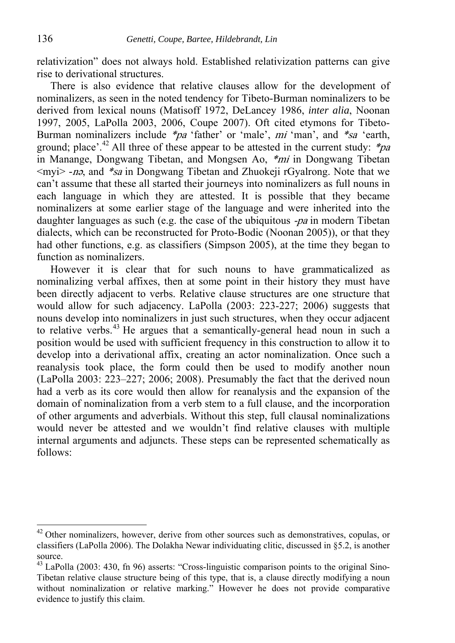relativization" does not always hold. Established relativization patterns can give rise to derivational structures.

There is also evidence that relative clauses allow for the development of nominalizers, as seen in the noted tendency for Tibeto-Burman nominalizers to be derived from lexical nouns (Matisoff 1972, DeLancey 1986, *inter alia*, Noonan 1997, 2005, LaPolla 2003, 2006, Coupe 2007). Oft cited etymons for Tibeto-Burman nominalizers include \*pa 'father' or 'male', mi 'man', and \*sa 'earth, ground; place'.<sup>42</sup> All three of these appear to be attested in the current study:  $*_{pa}$ in Manange, Dongwang Tibetan, and Mongsen Ao, \*mi in Dongwang Tibetan <myi> *-*n<sup>ǝ</sup>, and \*sa in Dongwang Tibetan and Zhuokeji rGyalrong. Note that we can't assume that these all started their journeys into nominalizers as full nouns in each language in which they are attested. It is possible that they became nominalizers at some earlier stage of the language and were inherited into the daughter languages as such (e.g. the case of the ubiquitous -pa in modern Tibetan dialects, which can be reconstructed for Proto-Bodic (Noonan 2005)), or that they had other functions, e.g. as classifiers (Simpson 2005), at the time they began to function as nominalizers.

However it is clear that for such nouns to have grammaticalized as nominalizing verbal affixes, then at some point in their history they must have been directly adjacent to verbs. Relative clause structures are one structure that would allow for such adjacency. LaPolla (2003: 223-227; 2006) suggests that nouns develop into nominalizers in just such structures, when they occur adjacent to relative verbs.<sup>43</sup> He argues that a semantically-general head noun in such a position would be used with sufficient frequency in this construction to allow it to develop into a derivational affix, creating an actor nominalization. Once such a reanalysis took place, the form could then be used to modify another noun (LaPolla 2003: 223–227; 2006; 2008). Presumably the fact that the derived noun had a verb as its core would then allow for reanalysis and the expansion of the domain of nominalization from a verb stem to a full clause, and the incorporation of other arguments and adverbials. Without this step, full clausal nominalizations would never be attested and we wouldn't find relative clauses with multiple internal arguments and adjuncts. These steps can be represented schematically as follows:

 $42$  Other nominalizers, however, derive from other sources such as demonstratives, copulas, or classifiers (LaPolla 2006). The Dolakha Newar individuating clitic, discussed in §5.2, is another source.

<sup>43</sup> LaPolla (2003: 430, fn 96) asserts: "Cross-linguistic comparison points to the original Sino-Tibetan relative clause structure being of this type, that is, a clause directly modifying a noun without nominalization or relative marking." However he does not provide comparative evidence to justify this claim.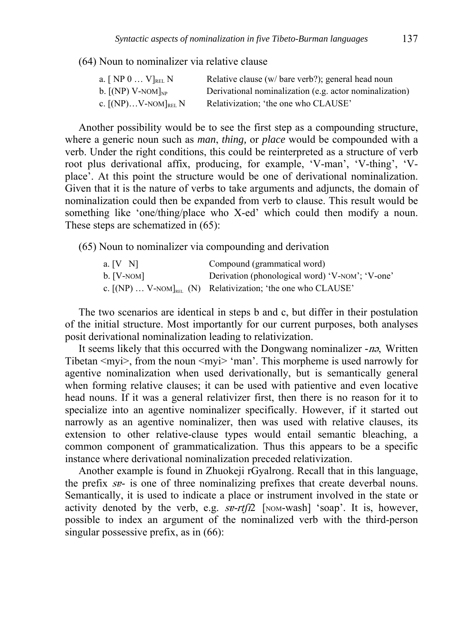(64) Noun to nominalizer via relative clause

| a. $[NP 0  V]_{REL} N$                            | Relative clause (w/ bare verb?); general head noun      |
|---------------------------------------------------|---------------------------------------------------------|
| b. $\left[\text{(NP)}\right]$ V-NOM $\left]_{NP}$ | Derivational nominalization (e.g. actor nominalization) |
| c. $[NP)V-NOM]_{REL}N$                            | Relativization; 'the one who CLAUSE'                    |

Another possibility would be to see the first step as a compounding structure, where a generic noun such as *man*, *thing,* or *place* would be compounded with a verb. Under the right conditions, this could be reinterpreted as a structure of verb root plus derivational affix, producing, for example, 'V-man', 'V-thing', 'Vplace'. At this point the structure would be one of derivational nominalization. Given that it is the nature of verbs to take arguments and adjuncts, the domain of nominalization could then be expanded from verb to clause. This result would be something like 'one/thing/place who X-ed' which could then modify a noun. These steps are schematized in (65):

(65) Noun to nominalizer via compounding and derivation

| a. $[V \ N]$ | Compound (grammatical word)                                            |
|--------------|------------------------------------------------------------------------|
| $b.$ [V-NOM] | Derivation (phonological word) 'V-NOM': 'V-one'                        |
|              | c. $[(NP) \dots V-NOM]_{REL}$ (N) Relativization; 'the one who CLAUSE' |

The two scenarios are identical in steps b and c, but differ in their postulation of the initial structure. Most importantly for our current purposes, both analyses posit derivational nominalization leading to relativization.

It seems likely that this occurred with the Dongwang nominalizer *-*n<sup>ǝ</sup>, Written Tibetan  $\langle myi \rangle$ , from the noun  $\langle myi \rangle$  'man'. This morpheme is used narrowly for agentive nominalization when used derivationally, but is semantically general when forming relative clauses; it can be used with patientive and even locative head nouns. If it was a general relativizer first, then there is no reason for it to specialize into an agentive nominalizer specifically. However, if it started out narrowly as an agentive nominalizer, then was used with relative clauses, its extension to other relative-clause types would entail semantic bleaching, a common component of grammaticalization. Thus this appears to be a specific instance where derivational nominalization preceded relativization.

Another example is found in Zhuokeji rGyalrong. Recall that in this language, the prefix sɐ- is one of three nominalizing prefixes that create deverbal nouns. Semantically, it is used to indicate a place or instrument involved in the state or activity denoted by the verb, e.g.  $se-rtf/2$  [NOM-wash] 'soap'. It is, however, possible to index an argument of the nominalized verb with the third-person singular possessive prefix, as in (66):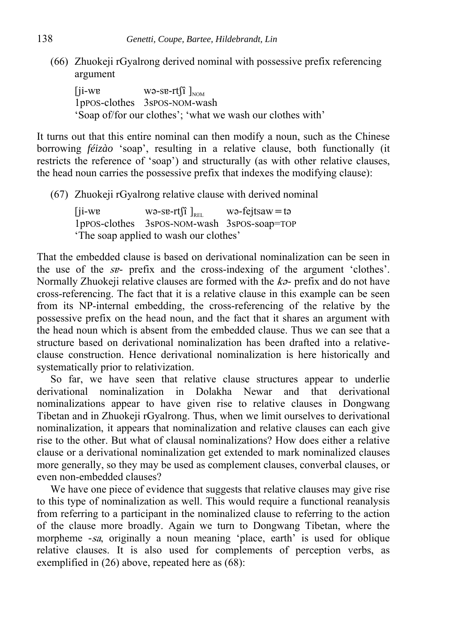(66) Zhuokeji rGyalrong derived nominal with possessive prefix referencing argument

 $\begin{bmatrix} ji-wv \\ \end{bmatrix}$  wə-se-rt $\begin{bmatrix} i \\ \end{bmatrix}$ 1pPOS-clothes 3sPOS-NOM-wash 'Soap of/for our clothes'; 'what we wash our clothes with'

It turns out that this entire nominal can then modify a noun, such as the Chinese borrowing *féizào* 'soap', resulting in a relative clause, both functionally (it restricts the reference of 'soap') and structurally (as with other relative clauses, the head noun carries the possessive prefix that indexes the modifying clause):

(67) Zhuokeji rGyalrong relative clause with derived nominal

 $[ii-we$  wə-se-rt $[i]_{\text{RET}}$  wə-fejtsaw=tə 1pPOS-clothes 3sPOS-NOM-wash 3sPOS-soap=TOP 'The soap applied to wash our clothes'

That the embedded clause is based on derivational nominalization can be seen in the use of the sɐ- prefix and the cross-indexing of the argument 'clothes'. Normally Zhuokeji relative clauses are formed with the  $k\sigma$ - prefix and do not have cross-referencing. The fact that it is a relative clause in this example can be seen from its NP-internal embedding, the cross-referencing of the relative by the possessive prefix on the head noun, and the fact that it shares an argument with the head noun which is absent from the embedded clause. Thus we can see that a structure based on derivational nominalization has been drafted into a relativeclause construction. Hence derivational nominalization is here historically and systematically prior to relativization.

So far, we have seen that relative clause structures appear to underlie derivational nominalization in Dolakha Newar and that derivational nominalizations appear to have given rise to relative clauses in Dongwang Tibetan and in Zhuokeji rGyalrong. Thus, when we limit ourselves to derivational nominalization, it appears that nominalization and relative clauses can each give rise to the other. But what of clausal nominalizations? How does either a relative clause or a derivational nominalization get extended to mark nominalized clauses more generally, so they may be used as complement clauses, converbal clauses, or even non-embedded clauses?

We have one piece of evidence that suggests that relative clauses may give rise to this type of nominalization as well. This would require a functional reanalysis from referring to a participant in the nominalized clause to referring to the action of the clause more broadly. Again we turn to Dongwang Tibetan, where the morpheme *-*sa, originally a noun meaning 'place, earth' is used for oblique relative clauses. It is also used for complements of perception verbs, as exemplified in (26) above, repeated here as (68):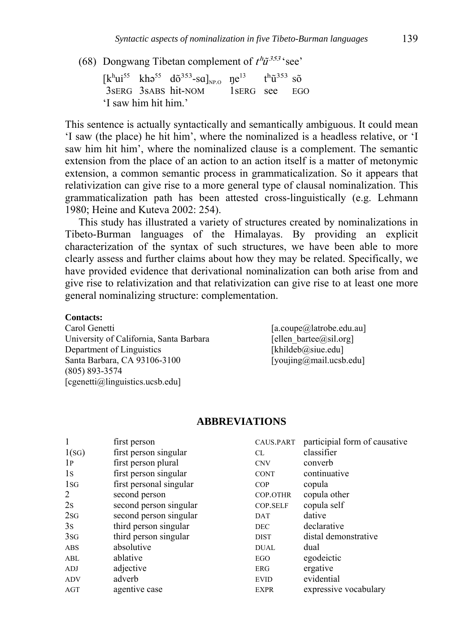(68) Dongwang Tibetan complement of  $t^h \tilde{u}^{353}$  'see'

 $[k^h\mathfrak{u}^{55} \quad k\mathfrak{h}\mathfrak{d}^{55} \quad d\tilde{\sigma}^{353}$ -sa]<sub>NP.O</sub>  $\mathfrak{y}e^{13} \quad t^h\tilde{\mathfrak{u}}^{353}$  sõ 3sERG 3sABS hit-NOM 1sERG see EGO 'I saw him hit him.'

This sentence is actually syntactically and semantically ambiguous. It could mean 'I saw (the place) he hit him', where the nominalized is a headless relative, or 'I saw him hit him', where the nominalized clause is a complement. The semantic extension from the place of an action to an action itself is a matter of metonymic extension, a common semantic process in grammaticalization. So it appears that relativization can give rise to a more general type of clausal nominalization. This grammaticalization path has been attested cross-linguistically (e.g. Lehmann 1980; Heine and Kuteva 2002: 254).

This study has illustrated a variety of structures created by nominalizations in Tibeto-Burman languages of the Himalayas. By providing an explicit characterization of the syntax of such structures, we have been able to more clearly assess and further claims about how they may be related. Specifically, we have provided evidence that derivational nominalization can both arise from and give rise to relativization and that relativization can give rise to at least one more general nominalizing structure: complementation.

#### **Contacts:**

Carol Genetti [a.coupe@latrobe.edu.au] University of California, Santa Barbara [ellen bartee@sil.org] Department of Linguistics [khildeb@siue.edu] Santa Barbara, CA 93106-3100 [youjing@mail.ucsb.edu] (805) 893-3574 [cgenetti@linguistics.ucsb.edu]

#### **ABBREVIATIONS**

| 1              | first person            | CAUS.PART   | participial form of causative |
|----------------|-------------------------|-------------|-------------------------------|
| 1(SG)          | first person singular   | CL          | classifier                    |
| 1 <sub>P</sub> | first person plural     | <b>CNV</b>  | converb                       |
| 1s             | first person singular   | <b>CONT</b> | continuative                  |
| 1 <sub>S</sub> | first personal singular | <b>COP</b>  | copula                        |
| $\overline{2}$ | second person           | COP.OTHR    | copula other                  |
| 2s             | second person singular  | COP.SELF    | copula self                   |
| 2SG            | second person singular  | DAT         | dative                        |
| 3s             | third person singular   | <b>DEC</b>  | declarative                   |
| 3SG            | third person singular   | <b>DIST</b> | distal demonstrative          |
| <b>ABS</b>     | absolutive              | <b>DUAL</b> | dual                          |
| ABL            | ablative                | EGO         | egodeictic                    |
| ADJ            | adjective               | ERG         | ergative                      |
| <b>ADV</b>     | adverb                  | <b>EVID</b> | evidential                    |
| AGT            | agentive case           | <b>EXPR</b> | expressive vocabulary         |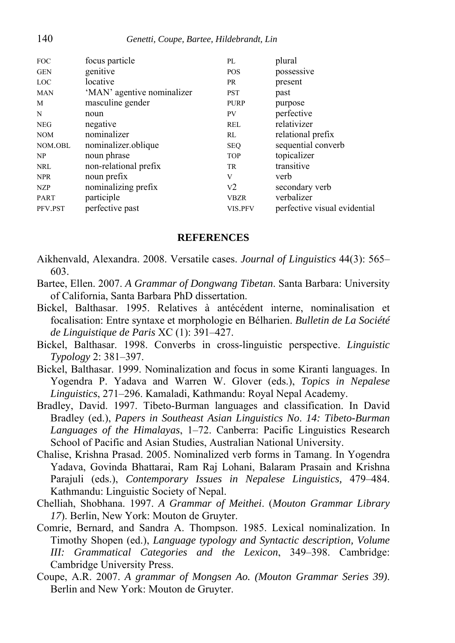| <b>FOC</b>  | focus particle             | PL             | plural                       |
|-------------|----------------------------|----------------|------------------------------|
| <b>GEN</b>  | genitive                   | <b>POS</b>     | possessive                   |
| <b>LOC</b>  | locative                   | PR             | present                      |
| <b>MAN</b>  | 'MAN' agentive nominalizer | <b>PST</b>     | past                         |
| M           | masculine gender           | <b>PURP</b>    | purpose                      |
| N           | noun                       | PV.            | perfective                   |
| <b>NEG</b>  | negative                   | REL            | relativizer                  |
| <b>NOM</b>  | nominalizer                | RL             | relational prefix            |
| NOM.OBL     | nominalizer.oblique        | <b>SEQ</b>     | sequential converb           |
| NP          | noun phrase                | <b>TOP</b>     | topicalizer                  |
| NRL         | non-relational prefix      | TR.            | transitive                   |
| <b>NPR</b>  | noun prefix                | V              | verb                         |
| NZP         | nominalizing prefix        | V <sub>2</sub> | secondary verb               |
| <b>PART</b> | participle                 | VBZR           | verbalizer                   |
| PFV.PST     | perfective past            | VIS.PFV        | perfective visual evidential |
|             |                            |                |                              |

#### **REFERENCES**

- Aikhenvald, Alexandra. 2008. Versatile cases. *Journal of Linguistics* 44(3): 565– 603.
- Bartee, Ellen. 2007. *A Grammar of Dongwang Tibetan*. Santa Barbara: University of California, Santa Barbara PhD dissertation.
- Bickel, Balthasar. 1995. Relatives à antécédent interne, nominalisation et focalisation: Entre syntaxe et morphologie en Bélharien. *Bulletin de La Société de Linguistique de Paris* XC (1): 391–427.
- Bickel, Balthasar. 1998. Converbs in cross-linguistic perspective. *Linguistic Typology* 2: 381–397.
- Bickel, Balthasar. 1999. Nominalization and focus in some Kiranti languages. In Yogendra P. Yadava and Warren W. Glover (eds.), *Topics in Nepalese Linguistics*, 271–296. Kamaladi, Kathmandu: Royal Nepal Academy.
- Bradley, David. 1997. Tibeto-Burman languages and classification. In David Bradley (ed.), *Papers in Southeast Asian Linguistics No*. *14: Tibeto-Burman Languages of the Himalayas*, 1–72. Canberra: Pacific Linguistics Research School of Pacific and Asian Studies, Australian National University.
- Chalise, Krishna Prasad. 2005. Nominalized verb forms in Tamang. In Yogendra Yadava, Govinda Bhattarai, Ram Raj Lohani, Balaram Prasain and Krishna Parajuli (eds.), *Contemporary Issues in Nepalese Linguistics,* 479–484. Kathmandu: Linguistic Society of Nepal.
- Chelliah, Shobhana. 1997. *A Grammar of Meithei*. (*Mouton Grammar Library 17*). Berlin, New York: Mouton de Gruyter.
- Comrie, Bernard, and Sandra A. Thompson. 1985. Lexical nominalization. In Timothy Shopen (ed.), *Language typology and Syntactic description, Volume III: Grammatical Categories and the Lexicon*, 349–398. Cambridge: Cambridge University Press.
- Coupe, A.R. 2007. *A grammar of Mongsen Ao. (Mouton Grammar Series 39)*. Berlin and New York: Mouton de Gruyter.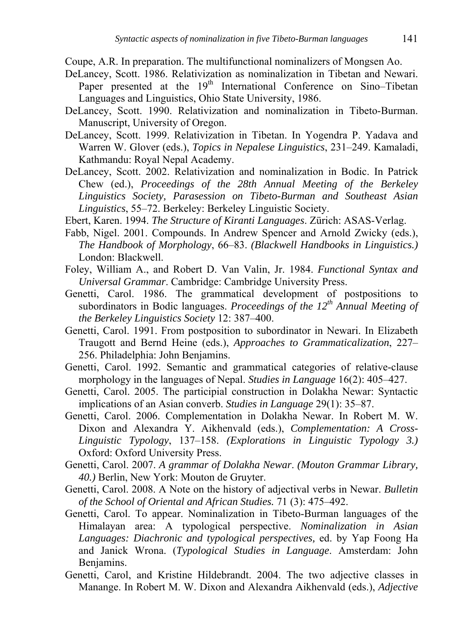Coupe, A.R. In preparation. The multifunctional nominalizers of Mongsen Ao.

- DeLancey, Scott. 1986. Relativization as nominalization in Tibetan and Newari. Paper presented at the 19<sup>th</sup> International Conference on Sino–Tibetan Languages and Linguistics, Ohio State University, 1986.
- DeLancey, Scott. 1990. Relativization and nominalization in Tibeto-Burman. Manuscript, University of Oregon.
- DeLancey, Scott. 1999. Relativization in Tibetan. In Yogendra P. Yadava and Warren W. Glover (eds.), *Topics in Nepalese Linguistics*, 231–249. Kamaladi, Kathmandu: Royal Nepal Academy.
- DeLancey, Scott. 2002. Relativization and nominalization in Bodic. In Patrick Chew (ed.), *Proceedings of the 28th Annual Meeting of the Berkeley Linguistics Society, Parasession on Tibeto-Burman and Southeast Asian Linguistics*, 55–72. Berkeley: Berkeley Linguistic Society.
- Ebert, Karen. 1994. *The Structure of Kiranti Languages*. Zürich: ASAS-Verlag.
- Fabb, Nigel. 2001. Compounds. In Andrew Spencer and Arnold Zwicky (eds.), *The Handbook of Morphology*, 66–83. *(Blackwell Handbooks in Linguistics.)* London: Blackwell.
- Foley, William A., and Robert D. Van Valin, Jr. 1984. *Functional Syntax and Universal Grammar*. Cambridge: Cambridge University Press.
- Genetti, Carol. 1986. The grammatical development of postpositions to subordinators in Bodic languages. *Proceedings of the 12th Annual Meeting of the Berkeley Linguistics Society* 12: 387–400.
- Genetti, Carol. 1991. From postposition to subordinator in Newari. In Elizabeth Traugott and Bernd Heine (eds.), *Approaches to Grammaticalization*, 227– 256. Philadelphia: John Benjamins.
- Genetti, Carol. 1992. Semantic and grammatical categories of relative-clause morphology in the languages of Nepal. *Studies in Language* 16(2): 405–427.
- Genetti, Carol. 2005. The participial construction in Dolakha Newar: Syntactic implications of an Asian converb. *Studies in Language* 29(1): 35–87.
- Genetti, Carol. 2006. Complementation in Dolakha Newar. In Robert M. W. Dixon and Alexandra Y. Aikhenvald (eds.), *Complementation: A Cross-Linguistic Typology*, 137–158. *(Explorations in Linguistic Typology 3.)* Oxford: Oxford University Press.
- Genetti, Carol. 2007. *A grammar of Dolakha Newar*. *(Mouton Grammar Library, 40.)* Berlin, New York: Mouton de Gruyter.
- Genetti, Carol. 2008. A Note on the history of adjectival verbs in Newar. *Bulletin of the School of Oriental and African Studies.* 71 (3): 475–492.
- Genetti, Carol. To appear. Nominalization in Tibeto-Burman languages of the Himalayan area: A typological perspective. *Nominalization in Asian Languages: Diachronic and typological perspectives,* ed. by Yap Foong Ha and Janick Wrona. (*Typological Studies in Language*. Amsterdam: John Benjamins.
- Genetti, Carol, and Kristine Hildebrandt. 2004. The two adjective classes in Manange. In Robert M. W. Dixon and Alexandra Aikhenvald (eds.), *Adjective*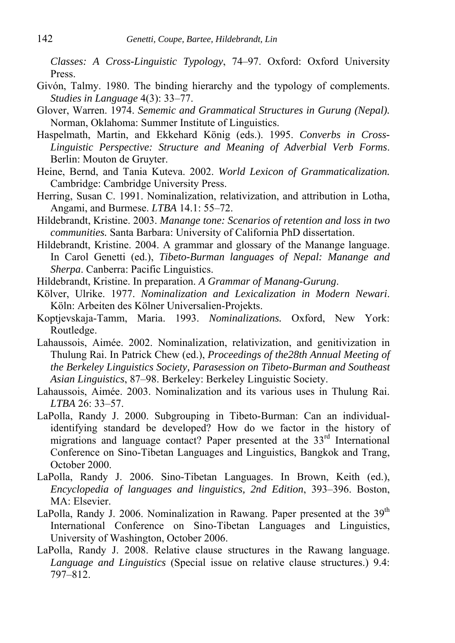*Classes: A Cross-Linguistic Typology*, 74–97. Oxford: Oxford University Press.

- Givón, Talmy. 1980. The binding hierarchy and the typology of complements. *Studies in Language* 4(3): 33–77.
- Glover, Warren. 1974. *Sememic and Grammatical Structures in Gurung (Nepal).* Norman, Oklahoma: Summer Institute of Linguistics.
- Haspelmath, Martin, and Ekkehard König (eds.). 1995. *Converbs in Cross-Linguistic Perspective: Structure and Meaning of Adverbial Verb Forms*. Berlin: Mouton de Gruyter.
- Heine, Bernd, and Tania Kuteva. 2002. *World Lexicon of Grammaticalization.*  Cambridge: Cambridge University Press.
- Herring, Susan C. 1991. Nominalization, relativization, and attribution in Lotha, Angami, and Burmese. *LTBA* 14.1: 55–72.
- Hildebrandt, Kristine. 2003. *Manange tone: Scenarios of retention and loss in two communities.* Santa Barbara: University of California PhD dissertation.
- Hildebrandt, Kristine. 2004. A grammar and glossary of the Manange language. In Carol Genetti (ed.), *Tibeto-Burman languages of Nepal: Manange and Sherpa*. Canberra: Pacific Linguistics.
- Hildebrandt, Kristine. In preparation. *A Grammar of Manang-Gurung*.
- Kölver, Ulrike. 1977. *Nominalization and Lexicalization in Modern Newari*. Köln: Arbeiten des Kölner Universalien-Projekts.
- Koptjevskaja-Tamm, Maria. 1993. *Nominalizations.* Oxford, New York: Routledge.
- Lahaussois, Aimée. 2002. Nominalization, relativization, and genitivization in Thulung Rai. In Patrick Chew (ed.), *Proceedings of the28th Annual Meeting of the Berkeley Linguistics Society, Parasession on Tibeto-Burman and Southeast Asian Linguistics*, 87–98. Berkeley: Berkeley Linguistic Society.
- Lahaussois, Aimée. 2003. Nominalization and its various uses in Thulung Rai. *LTBA* 26: 33–57.
- LaPolla, Randy J. 2000. Subgrouping in Tibeto-Burman: Can an individualidentifying standard be developed? How do we factor in the history of migrations and language contact? Paper presented at the 33<sup>rd</sup> International Conference on Sino-Tibetan Languages and Linguistics, Bangkok and Trang, October 2000.
- LaPolla, Randy J. 2006. Sino-Tibetan Languages. In Brown, Keith (ed.), *Encyclopedia of languages and linguistics, 2nd Edition*, 393–396. Boston, MA: Elsevier.
- LaPolla, Randy J. 2006. Nominalization in Rawang. Paper presented at the  $39<sup>th</sup>$ International Conference on Sino-Tibetan Languages and Linguistics, University of Washington, October 2006.
- LaPolla, Randy J. 2008. Relative clause structures in the Rawang language. *Language and Linguistics* (Special issue on relative clause structures.) 9.4: 797–812.